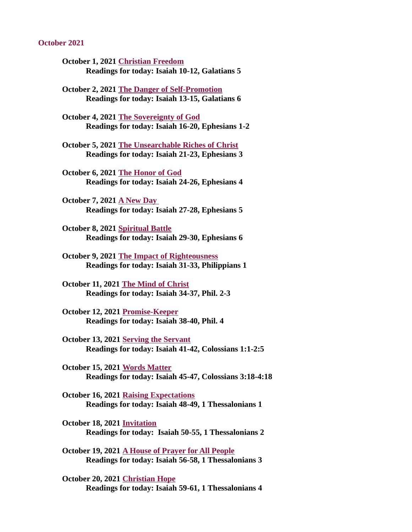#### October 2021

- October 1, 2021 Christian Freedom [Readings for today: Isaiah 10-12, Galatians 5](#page-2-0)
- [October 2, 2021 The Danger of Self-Promotion](#page-4-0) Readings for today: Isaiah 13-15, Galatians 6
- October 4, 2021 The Sovereignty of God [Readings for today: Isaiah 16-20, Ephesians 1-2](#page-6-0)
- [October 5, 2021 The Unsearchable Riches of Christ](#page-8-0) Readings for today: Isaiah 21-23, Ephesians 3
- October 6, 2021 The Honor of God [Readings for today: Isaiah 24-26, Ephesians 4](#page-10-0)
- October 7, 2021 A New Day [Readings for today: Isaiah 27-28, Ephesians 5](#page-12-0)
- October 8, 2021 Spiritual Battle [Readings for today: Isaiah 29-30, Ephesians 6](#page-14-0)
- October 9, 2021 The Impact of Righteousness [Readings for today: Isaiah 31-33, Philippians 1](#page-16-0)
- October 11, 2021 The Mind of Christ [Readings for today: Isaiah 34-37, Phil. 2-3](#page-18-0)
- October 12, 2021 Promise-Keeper [Readings for today: Isaiah 38-40, Phil. 4](#page-20-0)
- October 13, 2021 Serving the Servant [Readings for today: Isaiah 41-42, Colossians 1:1-2:5](#page-22-0)
- October 15, 2021 Words Matter [Readings for today: Isaiah 45-47, Colossians 3:18-4:18](#page-23-0)
- October 16, 2021 Raising Expectations [Readings for today: Isaiah 48-49, 1 Thessalonians 1](#page-25-0)
- October 18, 2021 Invitation [Readings for today: Isaiah 50-55, 1 Thessalonians 2](#page-27-0)
- October 19, 2021 A House of Prayer for All People [Readings for today: Isaiah 56-58, 1 Thessalonians 3](#page-28-0)
- October 20, 2021 Christian Hope [Readings for today: Isaiah 59-61, 1 Thessalonians 4](#page-29-0)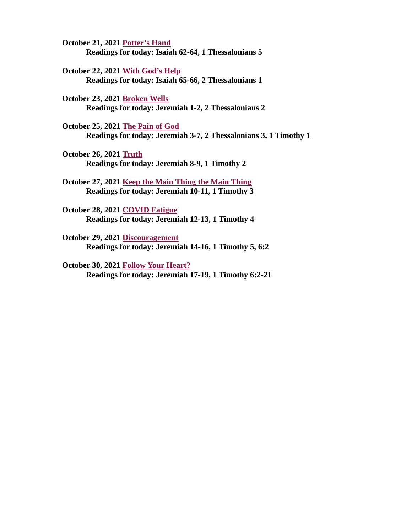October 21, 2021 Potter's Hand [Readings for today: Isaiah 62-64, 1 Thessalonians 5](#page-30-0)

October 22, 2021 With God's Help [Readings for today: Isaiah 65-66, 2 Thessalonians 1](#page-32-0)

October 23, 2021 Broken Wells [Readings for today: Jeremiah 1-2, 2 Thessalonians 2](#page-34-0)

October 25, 2021 The Pain of God [Readings for today: Jeremiah 3-7, 2 Thessalonians 3, 1 Timothy 1](#page-36-0)

October 26, 2021 Truth [Readings for today: Jeremiah 8-9, 1 Timothy 2](#page-38-0)

[October 27, 2021 Keep the Main Thing the Main Thing](#page-40-0) Readings for today: Jeremiah 10-11, 1 Timothy 3

October 28, 2021 COVID Fatigue [Readings for today: Jeremiah 12-13, 1 Timothy 4](#page-42-0)

October 29, 2021 Discouragement [Readings for today: Jeremiah 14-16, 1 Timothy 5, 6:2](#page-44-0)

October 30, 2021 Follow Your Heart? [Readings for today: Jeremiah 17-19, 1 Timothy 6:2-21](#page-46-0)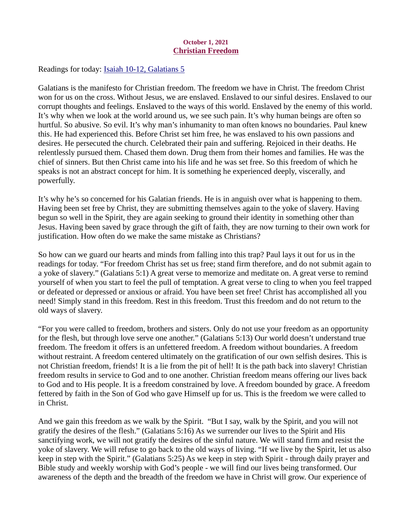## October 1, 2021 Christian Freedom

<span id="page-2-0"></span>Readings for toda[y: Isaiah 10-12, Galatians 5](https://www.biblegateway.com/passage/?search=Isaiah+10-12%2C+Galatians+5&version=ESV)

Galatians is the manifesto for Christian freedom. The freedom we have in Christ. The freedom Christ won for us on the cross. Without Jesus, we are enslaved. Enslaved to our sinful desires. Enslaved to our corrupt thoughts and feelings. Enslaved to the ways of this world. Enslaved by the enemy of this world. It's why when we look at the world around us, we see such pain. It's why human beings are often so hurtful. So abusive. So evil. It's why man's inhumanity to man often knows no boundaries. Paul knew this. He had experienced this. Before Christ set him free, he was enslaved to his own passions and desires. He persecuted the church. Celebrated their pain and suffering. Rejoiced in their deaths. He relentlessly pursued them. Chased them down. Drug them from their homes and families. He was the chief of sinners. But then Christ came into his life and he was set free. So this freedom of which he speaks is not an abstract concept for him. It is something he experienced deeply, viscerally, and powerfully.

It's why he's so concerned for his Galatian friends. He is in anguish over what is happening to them. Having been set free by Christ, they are submitting themselves again to the yoke of slavery. Having begun so well in the Spirit, they are again seeking to ground their identity in something other than Jesus. Having been saved by grace through the gift of faith, they are now turning to their own work for justification. How often do we make the same mistake as Christians?

So how can we guard our hearts and minds from falling into this trap? Paul lays it out for us in the readings for today. "For freedom Christ has set us free; stand firm therefore, and do not submit again to a yoke of slavery." (Galatians 5:1) A great verse to memorize and meditate on. A great verse to remind yourself of when you start to feel the pull of temptation. A great verse to cling to when you feel trapped or defeated or depressed or anxious or afraid. You have been set free! Christ has accomplished all you need! Simply stand in this freedom. Rest in this freedom. Trust this freedom and do not return to the old ways of slavery.

"For you were called to freedom, brothers and sisters. Only do not use your freedom as an opportunity for the flesh, but through love serve one another." (Galatians 5:13) Our world doesn't understand true freedom. The freedom it offers is an unfettered freedom. A freedom without boundaries. A freedom without restraint. A freedom centered ultimately on the gratification of our own selfish desires. This is not Christian freedom, friends! It is a lie from the pit of hell! It is the path back into slavery! Christian freedom results in service to God and to one another. Christian freedom means offering our lives back to God and to His people. It is a freedom constrained by love. A freedom bounded by grace. A freedom fettered by faith in the Son of God who gave Himself up for us. This is the freedom we were called to in Christ.

And we gain this freedom as we walk by the Spirit. "But I say, walk by the Spirit, and you will not gratify the desires of the flesh." (Galatians 5:16) As we surrender our lives to the Spirit and His sanctifying work, we will not gratify the desires of the sinful nature. We will stand firm and resist the yoke of slavery. We will refuse to go back to the old ways of living. "If we live by the Spirit, let us also keep in step with the Spirit." (Galatians 5:25) As we keep in step with Spirit - through daily prayer and Bible study and weekly worship with God's people - we will find our lives being transformed. Our awareness of the depth and the breadth of the freedom we have in Christ will grow. Our experience of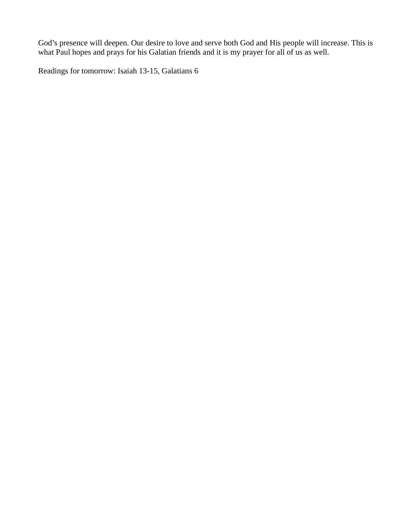God's presence will deepen. Our desire to love and serve both God and His people will increase. This is what Paul hopes and prays for his Galatian friends and it is my prayer for all of us as well.

Readings for tomorrow: Isaiah 13-15, Galatians 6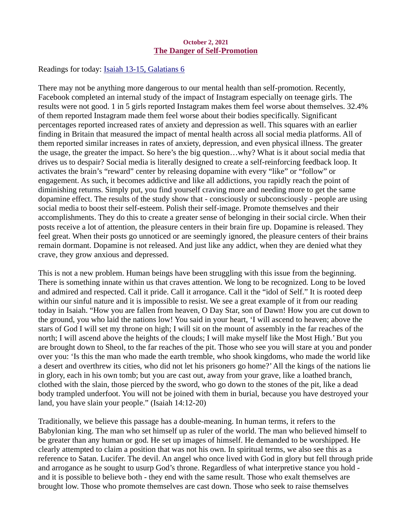#### October 2, 2021 The Danger of Self-Promotion

<span id="page-4-0"></span>Readings for today: **Isaiah 13-15**, Galatians 6

There may not be anything more dangerous to our mental health than self-promotion. Recently, Facebook completed an internal study of the impact of Instagram especially on teenage girls. The results were not good. 1 in 5 girls reported Instagram makes them feel worse about themselves. 32.4% of them reported Instagram made them feel worse about their bodies specifically. Significant percentages reported increased rates of anxiety and depression as well. This squares with an earlier finding in Britain that measured the impact of mental health across all social media platforms. All of them reported similar increases in rates of anxiety, depression, and even physical illness. The greater the usage, the greater the impact. So here's the big question…why? What is it about social media that drives us to despair? Social media is literally designed to create a self-reinforcing feedback loop. It activates the brain's "reward" center by releasing dopamine with every "like" or "follow" or engagement. As such, it becomes addictive and like all addictions, you rapidly reach the point of diminishing returns. Simply put, you find yourself craving more and needing more to get the same dopamine effect. The results of the study show that - consciously or subconsciously - people are using social media to boost their self-esteem. Polish their self-image. Promote themselves and their accomplishments. They do this to create a greater sense of belonging in their social circle. When their posts receive a lot of attention, the pleasure centers in their brain fire up. Dopamine is released. They feel great. When their posts go unnoticed or are seemingly ignored, the pleasure centers of their brains remain dormant. Dopamine is not released. And just like any addict, when they are denied what they crave, they grow anxious and depressed.

This is not a new problem. Human beings have been struggling with this issue from the beginning. There is something innate within us that craves attention. We long to be recognized. Long to be loved and admired and respected. Call it pride. Call it arrogance. Call it the "idol of Self." It is rooted deep within our sinful nature and it is impossible to resist. We see a great example of it from our reading today in Isaiah. "How you are fallen from heaven, O Day Star, son of Dawn! How you are cut down to the ground, you who laid the nations low! You said in your heart, 'I will ascend to heaven; above the stars of God I will set my throne on high; I will sit on the mount of assembly in the far reaches of the north; I will ascend above the heights of the clouds; I will make myself like the Most High.' But you are brought down to Sheol, to the far reaches of the pit. Those who see you will stare at you and ponder over you: 'Is this the man who made the earth tremble, who shook kingdoms, who made the world like a desert and overthrew its cities, who did not let his prisoners go home?' All the kings of the nations lie in glory, each in his own tomb; but you are cast out, away from your grave, like a loathed branch, clothed with the slain, those pierced by the sword, who go down to the stones of the pit, like a dead body trampled underfoot. You will not be joined with them in burial, because you have destroyed your land, you have slain your people." (Isaiah 14:12-20)

Traditionally, we believe this passage has a double-meaning. In human terms, it refers to the Babylonian king. The man who set himself up as ruler of the world. The man who believed himself to be greater than any human or god. He set up images of himself. He demanded to be worshipped. He clearly attempted to claim a position that was not his own. In spiritual terms, we also see this as a reference to Satan. Lucifer. The devil. An angel who once lived with God in glory but fell through pride and arrogance as he sought to usurp God's throne. Regardless of what interpretive stance you hold and it is possible to believe both - they end with the same result. Those who exalt themselves are brought low. Those who promote themselves are cast down. Those who seek to raise themselves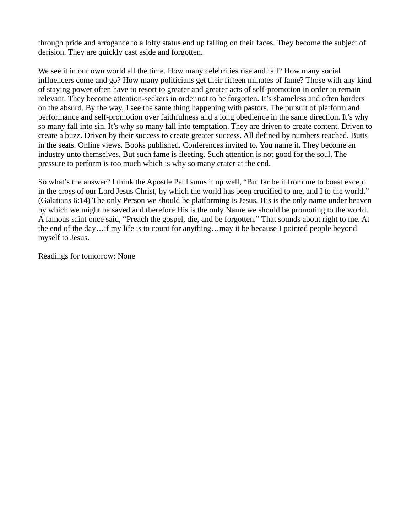through pride and arrogance to a lofty status end up falling on their faces. They become the subject of derision. They are quickly cast aside and forgotten.

We see it in our own world all the time. How many celebrities rise and fall? How many social influencers come and go? How many politicians get their fifteen minutes of fame? Those with any kind of staying power often have to resort to greater and greater acts of self-promotion in order to remain relevant. They become attention-seekers in order not to be forgotten. It's shameless and often borders on the absurd. By the way, I see the same thing happening with pastors. The pursuit of platform and performance and self-promotion over faithfulness and a long obedience in the same direction. It's why so many fall into sin. It's why so many fall into temptation. They are driven to create content. Driven to create a buzz. Driven by their success to create greater success. All defined by numbers reached. Butts in the seats. Online views. Books published. Conferences invited to. You name it. They become an industry unto themselves. But such fame is fleeting. Such attention is not good for the soul. The pressure to perform is too much which is why so many crater at the end.

So what's the answer? I think the Apostle Paul sums it up well, "But far be it from me to boast except in the cross of our Lord Jesus Christ, by which the world has been crucified to me, and I to the world." (Galatians 6:14) The only Person we should be platforming is Jesus. His is the only name under heaven by which we might be saved and therefore His is the only Name we should be promoting to the world. A famous saint once said, "Preach the gospel, die, and be forgotten." That sounds about right to me. At the end of the day…if my life is to count for anything…may it be because I pointed people beyond myself to Jesus.

Readings for tomorrow: None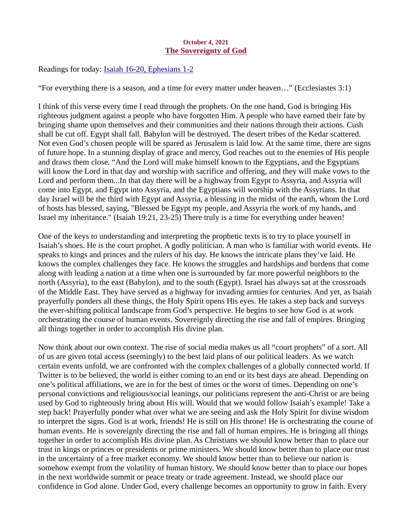## October 4, 2021 The Sovereignty of God

<span id="page-6-0"></span>Readings for today[: Isaiah 16-20, Ephesians 1-2](https://www.biblegateway.com/passage/?search=Isaiah+16-20%2C+Ephesians+1-2&version=ESV)

"For everything there is a season, and a time for every matter under heaven…" (Ecclesiastes 3:1)

I think of this verse every time I read through the prophets. On the one hand, God is bringing His righteous judgment against a people who have forgotten Him. A people who have earned their fate by bringing shame upon themselves and their communities and their nations through their actions. Cush shall be cut off. Egypt shall fall. Babylon will be destroyed. The desert tribes of the Kedar scattered. Not even God's chosen people will be spared as Jerusalem is laid low. At the same time, there are signs of future hope. In a stunning display of grace and mercy, God reaches out to the enemies of His people and draws them close. "And the Lord will make himself known to the Egyptians, and the Egyptians will know the Lord in that day and worship with sacrifice and offering, and they will make vows to the Lord and perform them...In that day there will be a highway from Egypt to Assyria, and Assyria will come into Egypt, and Egypt into Assyria, and the Egyptians will worship with the Assyrians. In that day Israel will be the third with Egypt and Assyria, a blessing in the midst of the earth, whom the Lord of hosts has blessed, saying, "Blessed be Egypt my people, and Assyria the work of my hands, and Israel my inheritance." (Isaiah 19:21, 23-25) There truly is a time for everything under heaven!

One of the keys to understanding and interpreting the prophetic texts is to try to place yourself in Isaiah's shoes. He is the court prophet. A godly politician. A man who is familiar with world events. He speaks to kings and princes and the rulers of his day. He knows the intricate plans they've laid. He knows the complex challenges they face. He knows the struggles and hardships and burdens that come along with leading a nation at a time when one is surrounded by far more powerful neighbors to the north (Assyria), to the east (Babylon), and to the south (Egypt). Israel has always sat at the crossroads of the Middle East. They have served as a highway for invading armies for centuries. And yet, as Isaiah prayerfully ponders all these things, the Holy Spirit opens His eyes. He takes a step back and surveys the ever-shifting political landscape from God's perspective. He begins to see how God is at work orchestrating the course of human events. Sovereignly directing the rise and fall of empires. Bringing all things together in order to accomplish His divine plan.

Now think about our own context. The rise of social media makes us all "court prophets" of a sort. All of us are given total access (seemingly) to the best laid plans of our political leaders. As we watch certain events unfold, we are confronted with the complex challenges of a globally connected world. If Twitter is to be believed, the world is either coming to an end or its best days are ahead. Depending on one's political affiliations, we are in for the best of times or the worst of times. Depending on one's personal convictions and religious/social leanings, our politicians represent the anti-Christ or are being used by God to righteously bring about His will. Would that we would follow Isaiah's example! Take a step back! Prayerfully ponder what over what we are seeing and ask the Holy Spirit for divine wisdom to interpret the signs. God is at work, friends! He is still on His throne! He is orchestrating the course of human events. He is sovereignly directing the rise and fall of human empires. He is bringing all things together in order to accomplish His divine plan. As Christians we should know better than to place our trust in kings or princes or presidents or prime ministers. We should know better than to place our trust in the uncertainty of a free market economy. We should know better than to believe our nation is somehow exempt from the volatility of human history. We should know better than to place our hopes in the next worldwide summit or peace treaty or trade agreement. Instead, we should place our confidence in God alone. Under God, every challenge becomes an opportunity to grow in faith. Every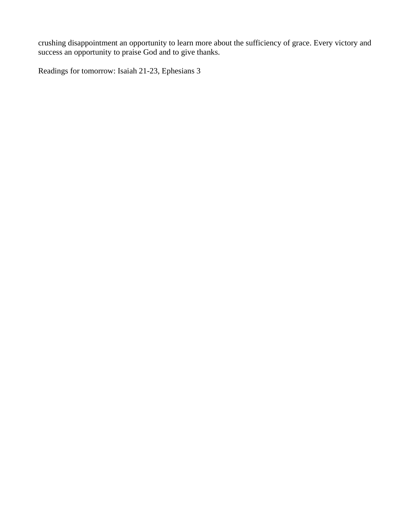crushing disappointment an opportunity to learn more about the sufficiency of grace. Every victory and success an opportunity to praise God and to give thanks.

Readings for tomorrow: Isaiah 21-23, Ephesians 3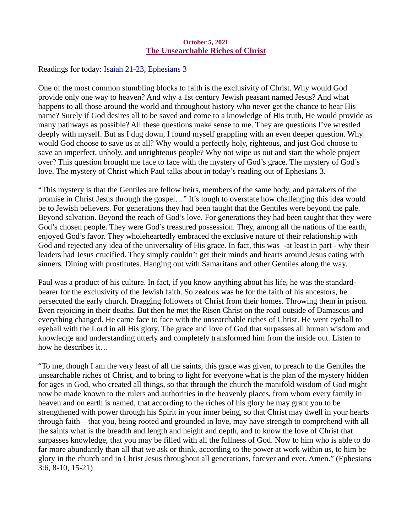### October 5, 2021 The Unsearchable Riches of Christ

<span id="page-8-0"></span>Readings for today[: Isaiah 21-23, Ephesians 3](https://www.biblegateway.com/passage/?search=Isaiah+21-23%2C+Ephesians+3&version=ESV)

One of the most common stumbling blocks to faith is the exclusivity of Christ. Why would God provide only one way to heaven? And why a 1st century Jewish peasant named Jesus? And what happens to all those around the world and throughout history who never get the chance to hear His name? Surely if God desires all to be saved and come to a knowledge of His truth, He would provide as many pathways as possible? All these questions make sense to me. They are questions I've wrestled deeply with myself. But as I dug down, I found myself grappling with an even deeper question. Why would God choose to save us at all? Why would a perfectly holy, righteous, and just God choose to save an imperfect, unholy, and unrighteous people? Why not wipe us out and start the whole project over? This question brought me face to face with the mystery of God's grace. The mystery of God's love. The mystery of Christ which Paul talks about in today's reading out of Ephesians 3.

"This mystery is that the Gentiles are fellow heirs, members of the same body, and partakers of the promise in Christ Jesus through the gospel…" It's tough to overstate how challenging this idea would be to Jewish believers. For generations they had been taught that the Gentiles were beyond the pale. Beyond salvation. Beyond the reach of God's love. For generations they had been taught that they were God's chosen people. They were God's treasured possession. They, among all the nations of the earth, enjoyed God's favor. They wholeheartedly embraced the exclusive nature of their relationship with God and rejected any idea of the universality of His grace. In fact, this was -at least in part - why their leaders had Jesus crucified. They simply couldn't get their minds and hearts around Jesus eating with sinners. Dining with prostitutes. Hanging out with Samaritans and other Gentiles along the way.

Paul was a product of his culture. In fact, if you know anything about his life, he was the standardbearer for the exclusivity of the Jewish faith. So zealous was he for the faith of his ancestors, he persecuted the early church. Dragging followers of Christ from their homes. Throwing them in prison. Even rejoicing in their deaths. But then he met the Risen Christ on the road outside of Damascus and everything changed. He came face to face with the unsearchable riches of Christ. He went eyeball to eyeball with the Lord in all His glory. The grace and love of God that surpasses all human wisdom and knowledge and understanding utterly and completely transformed him from the inside out. Listen to how he describes it…

"To me, though I am the very least of all the saints, this grace was given, to preach to the Gentiles the unsearchable riches of Christ, and to bring to light for everyone what is the plan of the mystery hidden for ages in God, who created all things, so that through the church the manifold wisdom of God might now be made known to the rulers and authorities in the heavenly places, from whom every family in heaven and on earth is named, that according to the riches of his glory he may grant you to be strengthened with power through his Spirit in your inner being, so that Christ may dwell in your hearts through faith—that you, being rooted and grounded in love, may have strength to comprehend with all the saints what is the breadth and length and height and depth, and to know the love of Christ that surpasses knowledge, that you may be filled with all the fullness of God. Now to him who is able to do far more abundantly than all that we ask or think, according to the power at work within us, to him be glory in the church and in Christ Jesus throughout all generations, forever and ever. Amen." (Ephesians 3:6, 8-10, 15-21)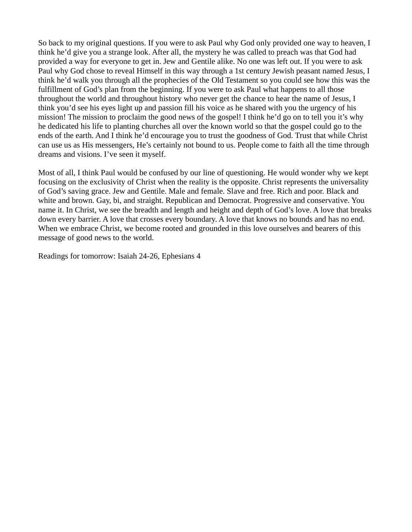So back to my original questions. If you were to ask Paul why God only provided one way to heaven, I think he'd give you a strange look. After all, the mystery he was called to preach was that God had provided a way for everyone to get in. Jew and Gentile alike. No one was left out. If you were to ask Paul why God chose to reveal Himself in this way through a 1st century Jewish peasant named Jesus, I think he'd walk you through all the prophecies of the Old Testament so you could see how this was the fulfillment of God's plan from the beginning. If you were to ask Paul what happens to all those throughout the world and throughout history who never get the chance to hear the name of Jesus, I think you'd see his eyes light up and passion fill his voice as he shared with you the urgency of his mission! The mission to proclaim the good news of the gospel! I think he'd go on to tell you it's why he dedicated his life to planting churches all over the known world so that the gospel could go to the ends of the earth. And I think he'd encourage you to trust the goodness of God. Trust that while Christ can use us as His messengers, He's certainly not bound to us. People come to faith all the time through dreams and visions. I've seen it myself.

Most of all, I think Paul would be confused by our line of questioning. He would wonder why we kept focusing on the exclusivity of Christ when the reality is the opposite. Christ represents the universality of God's saving grace. Jew and Gentile. Male and female. Slave and free. Rich and poor. Black and white and brown. Gay, bi, and straight. Republican and Democrat. Progressive and conservative. You name it. In Christ, we see the breadth and length and height and depth of God's love. A love that breaks down every barrier. A love that crosses every boundary. A love that knows no bounds and has no end. When we embrace Christ, we become rooted and grounded in this love ourselves and bearers of this message of good news to the world.

Readings for tomorrow: Isaiah 24-26, Ephesians 4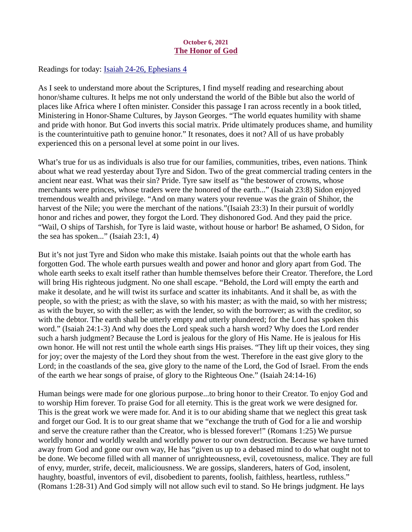## October 6, 2021 The Honor of God

<span id="page-10-0"></span>Readings for toda[y: Isaiah 24-26, Ephesians 4](https://www.biblegateway.com/passage/?search=Isaiah+24-26%2C+Ephesians+4&version=ESV)

As I seek to understand more about the Scriptures, I find myself reading and researching about honor/shame cultures. It helps me not only understand the world of the Bible but also the world of places like Africa where I often minister. Consider this passage I ran across recently in a book titled, Ministering in Honor-Shame Cultures, by Jayson Georges. "The world equates humility with shame and pride with honor. But God inverts this social matrix. Pride ultimately produces shame, and humility is the counterintuitive path to genuine honor." It resonates, does it not? All of us have probably experienced this on a personal level at some point in our lives.

What's true for us as individuals is also true for our families, communities, tribes, even nations. Think about what we read yesterday about Tyre and Sidon. Two of the great commercial trading centers in the ancient near east. What was their sin? Pride. Tyre saw itself as "the bestower of crowns, whose merchants were princes, whose traders were the honored of the earth..." (Isaiah 23:8) Sidon enjoyed tremendous wealth and privilege. "And on many waters your revenue was the grain of Shihor, the harvest of the Nile; you were the merchant of the nations."(Isaiah 23:3) In their pursuit of worldly honor and riches and power, they forgot the Lord. They dishonored God. And they paid the price. "Wail, O ships of Tarshish, for Tyre is laid waste, without house or harbor! Be ashamed, O Sidon, for the sea has spoken..." (Isaiah 23:1, 4)

But it's not just Tyre and Sidon who make this mistake. Isaiah points out that the whole earth has forgotten God. The whole earth pursues wealth and power and honor and glory apart from God. The whole earth seeks to exalt itself rather than humble themselves before their Creator. Therefore, the Lord will bring His righteous judgment. No one shall escape. "Behold, the Lord will empty the earth and make it desolate, and he will twist its surface and scatter its inhabitants. And it shall be, as with the people, so with the priest; as with the slave, so with his master; as with the maid, so with her mistress; as with the buyer, so with the seller; as with the lender, so with the borrower; as with the creditor, so with the debtor. The earth shall be utterly empty and utterly plundered; for the Lord has spoken this word." (Isaiah 24:1-3) And why does the Lord speak such a harsh word? Why does the Lord render such a harsh judgment? Because the Lord is jealous for the glory of His Name. He is jealous for His own honor. He will not rest until the whole earth sings His praises. "They lift up their voices, they sing for joy; over the majesty of the Lord they shout from the west. Therefore in the east give glory to the Lord; in the coastlands of the sea, give glory to the name of the Lord, the God of Israel. From the ends of the earth we hear songs of praise, of glory to the Righteous One." (Isaiah 24:14-16)

Human beings were made for one glorious purpose...to bring honor to their Creator. To enjoy God and to worship Him forever. To praise God for all eternity. This is the great work we were designed for. This is the great work we were made for. And it is to our abiding shame that we neglect this great task and forget our God. It is to our great shame that we "exchange the truth of God for a lie and worship and serve the creature rather than the Creator, who is blessed forever!" (Romans 1:25) We pursue worldly honor and worldly wealth and worldly power to our own destruction. Because we have turned away from God and gone our own way, He has "given us up to a debased mind to do what ought not to be done. We become filled with all manner of unrighteousness, evil, covetousness, malice. They are full of envy, murder, strife, deceit, maliciousness. We are gossips, slanderers, haters of God, insolent, haughty, boastful, inventors of evil, disobedient to parents, foolish, faithless, heartless, ruthless." (Romans 1:28-31) And God simply will not allow such evil to stand. So He brings judgment. He lays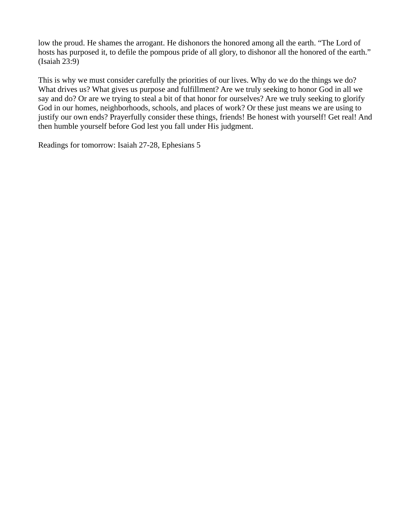low the proud. He shames the arrogant. He dishonors the honored among all the earth. "The Lord of hosts has purposed it, to defile the pompous pride of all glory, to dishonor all the honored of the earth." (Isaiah 23:9)

This is why we must consider carefully the priorities of our lives. Why do we do the things we do? What drives us? What gives us purpose and fulfillment? Are we truly seeking to honor God in all we say and do? Or are we trying to steal a bit of that honor for ourselves? Are we truly seeking to glorify God in our homes, neighborhoods, schools, and places of work? Or these just means we are using to justify our own ends? Prayerfully consider these things, friends! Be honest with yourself! Get real! And then humble yourself before God lest you fall under His judgment.

Readings for tomorrow: Isaiah 27-28, Ephesians 5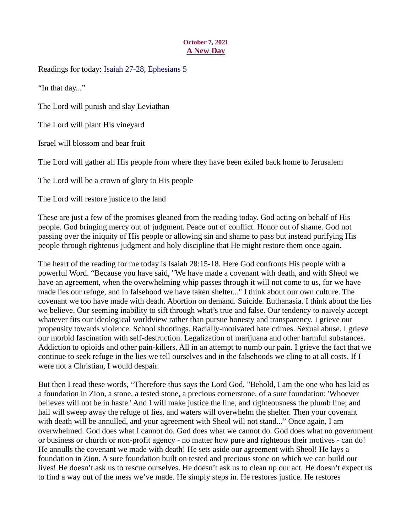# October 7, 2021 A New Day

<span id="page-12-0"></span>Readings for today: [Isaiah 27-28, Ephesians 5](https://www.biblegateway.com/passage/?search=Isaiah+27-28%2C+Ephesians+5&version=ESV)

"In that day..."

The Lord will punish and slay Leviathan

The Lord will plant His vineyard

Israel will blossom and bear fruit

The Lord will gather all His people from where they have been exiled back home to Jerusalem

The Lord will be a crown of glory to His people

The Lord will restore justice to the land

These are just a few of the promises gleaned from the reading today. God acting on behalf of His people. God bringing mercy out of judgment. Peace out of conflict. Honor out of shame. God not passing over the iniquity of His people or allowing sin and shame to pass but instead purifying His people through righteous judgment and holy discipline that He might restore them once again.

The heart of the reading for me today is Isaiah 28:15-18. Here God confronts His people with a powerful Word. "Because you have said, "We have made a covenant with death, and with Sheol we have an agreement, when the overwhelming whip passes through it will not come to us, for we have made lies our refuge, and in falsehood we have taken shelter..." I think about our own culture. The covenant we too have made with death. Abortion on demand. Suicide. Euthanasia. I think about the lies we believe. Our seeming inability to sift through what's true and false. Our tendency to naively accept whatever fits our ideological worldview rather than pursue honesty and transparency. I grieve our propensity towards violence. School shootings. Racially-motivated hate crimes. Sexual abuse. I grieve our morbid fascination with self-destruction. Legalization of marijuana and other harmful substances. Addiction to opioids and other pain-killers. All in an attempt to numb our pain. I grieve the fact that we continue to seek refuge in the lies we tell ourselves and in the falsehoods we cling to at all costs. If I were not a Christian, I would despair.

But then I read these words, "Therefore thus says the Lord God, "Behold, I am the one who has laid as a foundation in Zion, a stone, a tested stone, a precious cornerstone, of a sure foundation: 'Whoever believes will not be in haste.' And I will make justice the line, and righteousness the plumb line; and hail will sweep away the refuge of lies, and waters will overwhelm the shelter. Then your covenant with death will be annulled, and your agreement with Sheol will not stand..." Once again, I am overwhelmed. God does what I cannot do. God does what we cannot do. God does what no government or business or church or non-profit agency - no matter how pure and righteous their motives - can do! He annulls the covenant we made with death! He sets aside our agreement with Sheol! He lays a foundation in Zion. A sure foundation built on tested and precious stone on which we can build our lives! He doesn't ask us to rescue ourselves. He doesn't ask us to clean up our act. He doesn't expect us to find a way out of the mess we've made. He simply steps in. He restores justice. He restores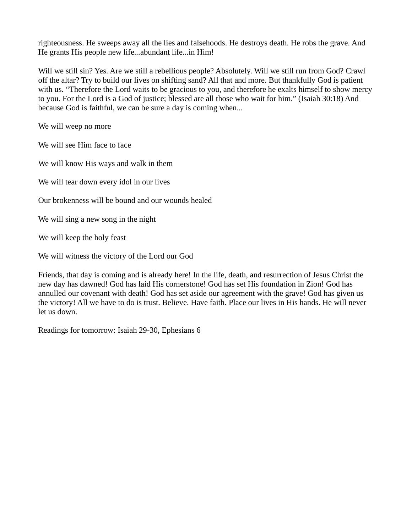righteousness. He sweeps away all the lies and falsehoods. He destroys death. He robs the grave. And He grants His people new life...abundant life...in Him!

Will we still sin? Yes. Are we still a rebellious people? Absolutely. Will we still run from God? Crawl off the altar? Try to build our lives on shifting sand? All that and more. But thankfully God is patient with us. "Therefore the Lord waits to be gracious to you, and therefore he exalts himself to show mercy to you. For the Lord is a God of justice; blessed are all those who wait for him." (Isaiah 30:18) And because God is faithful, we can be sure a day is coming when...

We will weep no more

We will see Him face to face

We will know His ways and walk in them

We will tear down every idol in our lives

Our brokenness will be bound and our wounds healed

We will sing a new song in the night

We will keep the holy feast

We will witness the victory of the Lord our God

Friends, that day is coming and is already here! In the life, death, and resurrection of Jesus Christ the new day has dawned! God has laid His cornerstone! God has set His foundation in Zion! God has annulled our covenant with death! God has set aside our agreement with the grave! God has given us the victory! All we have to do is trust. Believe. Have faith. Place our lives in His hands. He will never let us down.

Readings for tomorrow: Isaiah 29-30, Ephesians 6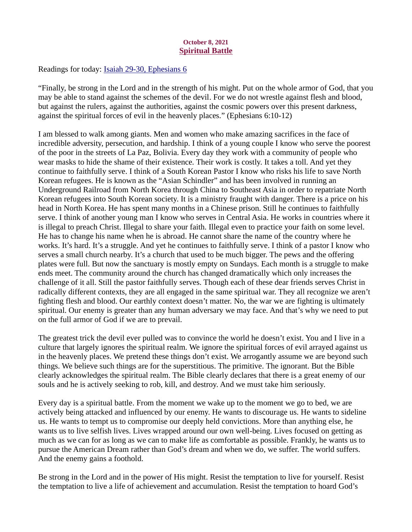## October 8, 2021 Spiritual Battle

<span id="page-14-0"></span>Readings for today: [Isaiah 29-30, Ephesians 6](https://www.biblegateway.com/passage/?search=Isaiah+29-30%2C+Ephesians+6&version=ESV)

"Finally, be strong in the Lord and in the strength of his might. Put on the whole armor of God, that you may be able to stand against the schemes of the devil. For we do not wrestle against flesh and blood, but against the rulers, against the authorities, against the cosmic powers over this present darkness, against the spiritual forces of evil in the heavenly places." (Ephesians 6:10-12)

I am blessed to walk among giants. Men and women who make amazing sacrifices in the face of incredible adversity, persecution, and hardship. I think of a young couple I know who serve the poorest of the poor in the streets of La Paz, Bolivia. Every day they work with a community of people who wear masks to hide the shame of their existence. Their work is costly. It takes a toll. And yet they continue to faithfully serve. I think of a South Korean Pastor I know who risks his life to save North Korean refugees. He is known as the "Asian Schindler" and has been involved in running an Underground Railroad from North Korea through China to Southeast Asia in order to repatriate North Korean refugees into South Korean society. It is a ministry fraught with danger. There is a price on his head in North Korea. He has spent many months in a Chinese prison. Still he continues to faithfully serve. I think of another young man I know who serves in Central Asia. He works in countries where it is illegal to preach Christ. Illegal to share your faith. Illegal even to practice your faith on some level. He has to change his name when he is abroad. He cannot share the name of the country where he works. It's hard. It's a struggle. And yet he continues to faithfully serve. I think of a pastor I know who serves a small church nearby. It's a church that used to be much bigger. The pews and the offering plates were full. But now the sanctuary is mostly empty on Sundays. Each month is a struggle to make ends meet. The community around the church has changed dramatically which only increases the challenge of it all. Still the pastor faithfully serves. Though each of these dear friends serves Christ in radically different contexts, they are all engaged in the same spiritual war. They all recognize we aren't fighting flesh and blood. Our earthly context doesn't matter. No, the war we are fighting is ultimately spiritual. Our enemy is greater than any human adversary we may face. And that's why we need to put on the full armor of God if we are to prevail.

The greatest trick the devil ever pulled was to convince the world he doesn't exist. You and I live in a culture that largely ignores the spiritual realm. We ignore the spiritual forces of evil arrayed against us in the heavenly places. We pretend these things don't exist. We arrogantly assume we are beyond such things. We believe such things are for the superstitious. The primitive. The ignorant. But the Bible clearly acknowledges the spiritual realm. The Bible clearly declares that there is a great enemy of our souls and he is actively seeking to rob, kill, and destroy. And we must take him seriously.

Every day is a spiritual battle. From the moment we wake up to the moment we go to bed, we are actively being attacked and influenced by our enemy. He wants to discourage us. He wants to sideline us. He wants to tempt us to compromise our deeply held convictions. More than anything else, he wants us to live selfish lives. Lives wrapped around our own well-being. Lives focused on getting as much as we can for as long as we can to make life as comfortable as possible. Frankly, he wants us to pursue the American Dream rather than God's dream and when we do, we suffer. The world suffers. And the enemy gains a foothold.

Be strong in the Lord and in the power of His might. Resist the temptation to live for yourself. Resist the temptation to live a life of achievement and accumulation. Resist the temptation to hoard God's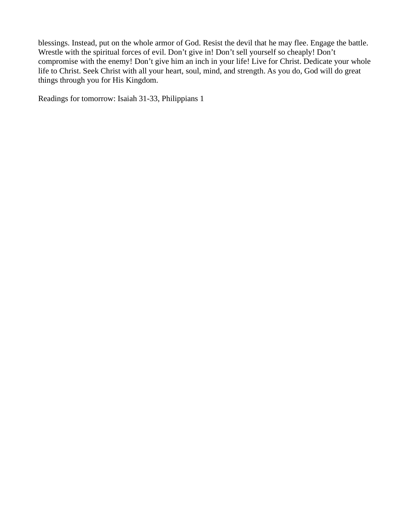blessings. Instead, put on the whole armor of God. Resist the devil that he may flee. Engage the battle. Wrestle with the spiritual forces of evil. Don't give in! Don't sell yourself so cheaply! Don't compromise with the enemy! Don't give him an inch in your life! Live for Christ. Dedicate your whole life to Christ. Seek Christ with all your heart, soul, mind, and strength. As you do, God will do great things through you for His Kingdom.

Readings for tomorrow: Isaiah 31-33, Philippians 1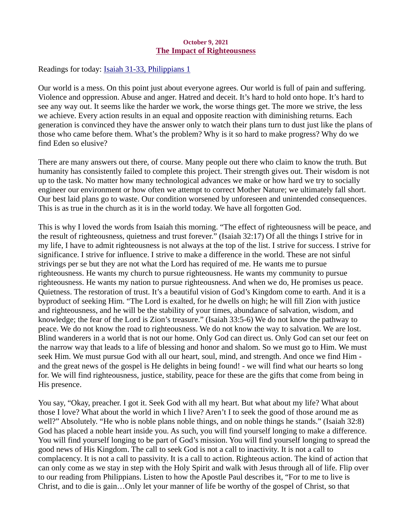### October 9, 2021 The Impact of Righteousness

<span id="page-16-0"></span>Readings for today: **Isaiah 31-33, Philippians 1** 

Our world is a mess. On this point just about everyone agrees. Our world is full of pain and suffering. Violence and oppression. Abuse and anger. Hatred and deceit. It's hard to hold onto hope. It's hard to see any way out. It seems like the harder we work, the worse things get. The more we strive, the less we achieve. Every action results in an equal and opposite reaction with diminishing returns. Each generation is convinced they have the answer only to watch their plans turn to dust just like the plans of those who came before them. What's the problem? Why is it so hard to make progress? Why do we find Eden so elusive?

There are many answers out there, of course. Many people out there who claim to know the truth. But humanity has consistently failed to complete this project. Their strength gives out. Their wisdom is not up to the task. No matter how many technological advances we make or how hard we try to socially engineer our environment or how often we attempt to correct Mother Nature; we ultimately fall short. Our best laid plans go to waste. Our condition worsened by unforeseen and unintended consequences. This is as true in the church as it is in the world today. We have all forgotten God.

This is why I loved the words from Isaiah this morning. "The effect of righteousness will be peace, and the result of righteousness, quietness and trust forever." (Isaiah 32:17) Of all the things I strive for in my life, I have to admit righteousness is not always at the top of the list. I strive for success. I strive for significance. I strive for influence. I strive to make a difference in the world. These are not sinful strivings per se but they are not what the Lord has required of me. He wants me to pursue righteousness. He wants my church to pursue righteousness. He wants my community to pursue righteousness. He wants my nation to pursue righteousness. And when we do, He promises us peace. Quietness. The restoration of trust. It's a beautiful vision of God's Kingdom come to earth. And it is a byproduct of seeking Him. "The Lord is exalted, for he dwells on high; he will fill Zion with justice and righteousness, and he will be the stability of your times, abundance of salvation, wisdom, and knowledge; the fear of the Lord is Zion's treasure." (Isaiah 33:5-6) We do not know the pathway to peace. We do not know the road to righteousness. We do not know the way to salvation. We are lost. Blind wanderers in a world that is not our home. Only God can direct us. Only God can set our feet on the narrow way that leads to a life of blessing and honor and shalom. So we must go to Him. We must seek Him. We must pursue God with all our heart, soul, mind, and strength. And once we find Him and the great news of the gospel is He delights in being found! - we will find what our hearts so long for. We will find righteousness, justice, stability, peace for these are the gifts that come from being in His presence.

You say, "Okay, preacher. I got it. Seek God with all my heart. But what about my life? What about those I love? What about the world in which I live? Aren't I to seek the good of those around me as well?" Absolutely. "He who is noble plans noble things, and on noble things he stands." (Isaiah 32:8) God has placed a noble heart inside you. As such, you will find yourself longing to make a difference. You will find yourself longing to be part of God's mission. You will find yourself longing to spread the good news of His Kingdom. The call to seek God is not a call to inactivity. It is not a call to complacency. It is not a call to passivity. It is a call to action. Righteous action. The kind of action that can only come as we stay in step with the Holy Spirit and walk with Jesus through all of life. Flip over to our reading from Philippians. Listen to how the Apostle Paul describes it, "For to me to live is Christ, and to die is gain…Only let your manner of life be worthy of the gospel of Christ, so that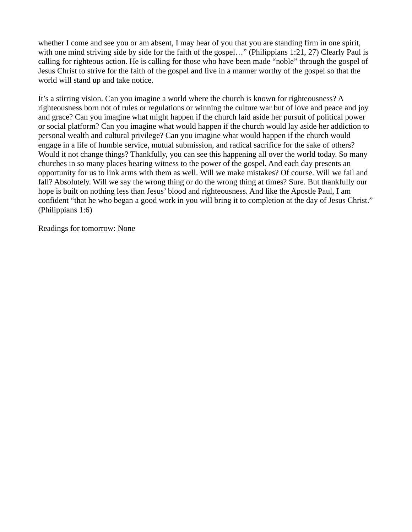whether I come and see you or am absent, I may hear of you that you are standing firm in one spirit, with one mind striving side by side for the faith of the gospel..." (Philippians 1:21, 27) Clearly Paul is calling for righteous action. He is calling for those who have been made "noble" through the gospel of Jesus Christ to strive for the faith of the gospel and live in a manner worthy of the gospel so that the world will stand up and take notice.

It's a stirring vision. Can you imagine a world where the church is known for righteousness? A righteousness born not of rules or regulations or winning the culture war but of love and peace and joy and grace? Can you imagine what might happen if the church laid aside her pursuit of political power or social platform? Can you imagine what would happen if the church would lay aside her addiction to personal wealth and cultural privilege? Can you imagine what would happen if the church would engage in a life of humble service, mutual submission, and radical sacrifice for the sake of others? Would it not change things? Thankfully, you can see this happening all over the world today. So many churches in so many places bearing witness to the power of the gospel. And each day presents an opportunity for us to link arms with them as well. Will we make mistakes? Of course. Will we fail and fall? Absolutely. Will we say the wrong thing or do the wrong thing at times? Sure. But thankfully our hope is built on nothing less than Jesus' blood and righteousness. And like the Apostle Paul, I am confident "that he who began a good work in you will bring it to completion at the day of Jesus Christ." (Philippians 1:6)

Readings for tomorrow: None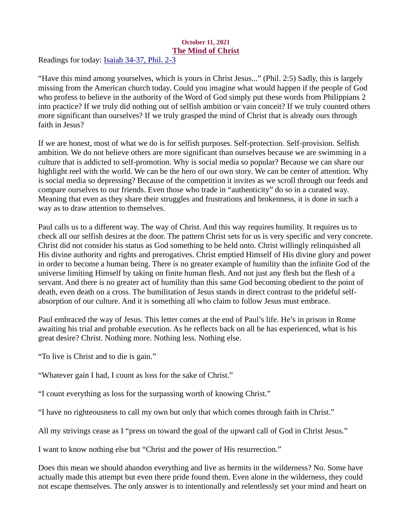## October 11, 2021 The Mind of Christ

<span id="page-18-0"></span>Readings for today: [Isaiah 34-37, Phil. 2-3](https://www.biblegateway.com/passage/?search=Isaiah+34-37%2C+Phil.+2-3&version=ESV)

"Have this mind among yourselves, which is yours in Christ Jesus..." (Phil. 2:5) Sadly, this is largely missing from the American church today. Could you imagine what would happen if the people of God who profess to believe in the authority of the Word of God simply put these words from Philippians 2 into practice? If we truly did nothing out of selfish ambition or vain conceit? If we truly counted others more significant than ourselves? If we truly grasped the mind of Christ that is already ours through faith in Jesus?

If we are honest, most of what we do is for selfish purposes. Self-protection. Self-provision. Selfish ambition. We do not believe others are more significant than ourselves because we are swimming in a culture that is addicted to self-promotion. Why is social media so popular? Because we can share our highlight reel with the world. We can be the hero of our own story. We can be center of attention. Why is social media so depressing? Because of the competition it invites as we scroll through our feeds and compare ourselves to our friends. Even those who trade in "authenticity" do so in a curated way. Meaning that even as they share their struggles and frustrations and brokenness, it is done in such a way as to draw attention to themselves.

Paul calls us to a different way. The way of Christ. And this way requires humility. It requires us to check all our selfish desires at the door. The pattern Christ sets for us is very specific and very concrete. Christ did not consider his status as God something to be held onto. Christ willingly relinquished all His divine authority and rights and prerogatives. Christ emptied Himself of His divine glory and power in order to become a human being. There is no greater example of humility than the infinite God of the universe limiting Himself by taking on finite human flesh. And not just any flesh but the flesh of a servant. And there is no greater act of humility than this same God becoming obedient to the point of death, even death on a cross. The humilitation of Jesus stands in direct contrast to the prideful selfabsorption of our culture. And it is something all who claim to follow Jesus must embrace.

Paul embraced the way of Jesus. This letter comes at the end of Paul's life. He's in prison in Rome awaiting his trial and probable execution. As he reflects back on all he has experienced, what is his great desire? Christ. Nothing more. Nothing less. Nothing else.

"To live is Christ and to die is gain."

"Whatever gain I had, I count as loss for the sake of Christ."

"I count everything as loss for the surpassing worth of knowing Christ."

"I have no righteousness to call my own but only that which comes through faith in Christ."

All my strivings cease as I "press on toward the goal of the upward call of God in Christ Jesus."

I want to know nothing else but "Christ and the power of His resurrection."

Does this mean we should abandon everything and live as hermits in the wilderness? No. Some have actually made this attempt but even there pride found them. Even alone in the wilderness, they could not escape themselves. The only answer is to intentionally and relentlessly set your mind and heart on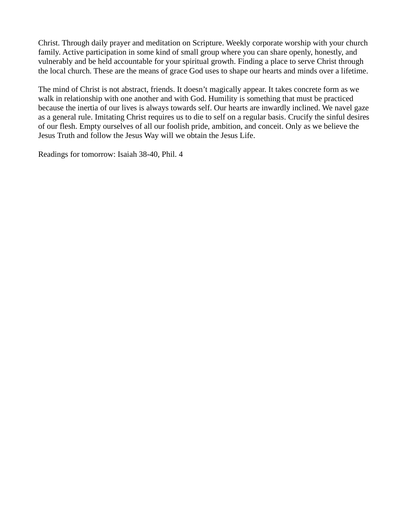Christ. Through daily prayer and meditation on Scripture. Weekly corporate worship with your church family. Active participation in some kind of small group where you can share openly, honestly, and vulnerably and be held accountable for your spiritual growth. Finding a place to serve Christ through the local church. These are the means of grace God uses to shape our hearts and minds over a lifetime.

The mind of Christ is not abstract, friends. It doesn't magically appear. It takes concrete form as we walk in relationship with one another and with God. Humility is something that must be practiced because the inertia of our lives is always towards self. Our hearts are inwardly inclined. We navel gaze as a general rule. Imitating Christ requires us to die to self on a regular basis. Crucify the sinful desires of our flesh. Empty ourselves of all our foolish pride, ambition, and conceit. Only as we believe the Jesus Truth and follow the Jesus Way will we obtain the Jesus Life.

Readings for tomorrow: Isaiah 38-40, Phil. 4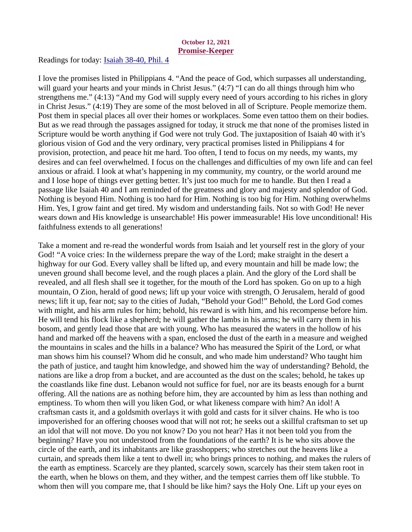#### October 12, 2021 Promise-Keeper

<span id="page-20-0"></span>Readings for today: [Isaiah 38-40, Phil. 4](https://www.biblegateway.com/passage/?search=Isaiah+38-40%2C+Phil.+4&version=ESV)

I love the promises listed in Philippians 4. "And the peace of God, which surpasses all understanding, will guard your hearts and your minds in Christ Jesus." (4:7) "I can do all things through him who strengthens me." (4:13) "And my God will supply every need of yours according to his riches in glory in Christ Jesus." (4:19) They are some of the most beloved in all of Scripture. People memorize them. Post them in special places all over their homes or workplaces. Some even tattoo them on their bodies. But as we read through the passages assigned for today, it struck me that none of the promises listed in Scripture would be worth anything if God were not truly God. The juxtaposition of Isaiah 40 with it's glorious vision of God and the very ordinary, very practical promises listed in Philippians 4 for provision, protection, and peace hit me hard. Too often, I tend to focus on my needs, my wants, my desires and can feel overwhelmed. I focus on the challenges and difficulties of my own life and can feel anxious or afraid. I look at what's happening in my community, my country, or the world around me and I lose hope of things ever getting better. It's just too much for me to handle. But then I read a passage like Isaiah 40 and I am reminded of the greatness and glory and majesty and splendor of God. Nothing is beyond Him. Nothing is too hard for Him. Nothing is too big for Him. Nothing overwhelms Him. Yes, I grow faint and get tired. My wisdom and understanding fails. Not so with God! He never wears down and His knowledge is unsearchable! His power immeasurable! His love unconditional! His faithfulness extends to all generations!

Take a moment and re-read the wonderful words from Isaiah and let yourself rest in the glory of your God! "A voice cries: In the wilderness prepare the way of the Lord; make straight in the desert a highway for our God. Every valley shall be lifted up, and every mountain and hill be made low; the uneven ground shall become level, and the rough places a plain. And the glory of the Lord shall be revealed, and all flesh shall see it together, for the mouth of the Lord has spoken. Go on up to a high mountain, O Zion, herald of good news; lift up your voice with strength, O Jerusalem, herald of good news; lift it up, fear not; say to the cities of Judah, "Behold your God!" Behold, the Lord God comes with might, and his arm rules for him; behold, his reward is with him, and his recompense before him. He will tend his flock like a shepherd; he will gather the lambs in his arms; he will carry them in his bosom, and gently lead those that are with young. Who has measured the waters in the hollow of his hand and marked off the heavens with a span, enclosed the dust of the earth in a measure and weighed the mountains in scales and the hills in a balance? Who has measured the Spirit of the Lord, or what man shows him his counsel? Whom did he consult, and who made him understand? Who taught him the path of justice, and taught him knowledge, and showed him the way of understanding? Behold, the nations are like a drop from a bucket, and are accounted as the dust on the scales; behold, he takes up the coastlands like fine dust. Lebanon would not suffice for fuel, nor are its beasts enough for a burnt offering. All the nations are as nothing before him, they are accounted by him as less than nothing and emptiness. To whom then will you liken God, or what likeness compare with him? An idol! A craftsman casts it, and a goldsmith overlays it with gold and casts for it silver chains. He who is too impoverished for an offering chooses wood that will not rot; he seeks out a skillful craftsman to set up an idol that will not move. Do you not know? Do you not hear? Has it not been told you from the beginning? Have you not understood from the foundations of the earth? It is he who sits above the circle of the earth, and its inhabitants are like grasshoppers; who stretches out the heavens like a curtain, and spreads them like a tent to dwell in; who brings princes to nothing, and makes the rulers of the earth as emptiness. Scarcely are they planted, scarcely sown, scarcely has their stem taken root in the earth, when he blows on them, and they wither, and the tempest carries them off like stubble. To whom then will you compare me, that I should be like him? says the Holy One. Lift up your eyes on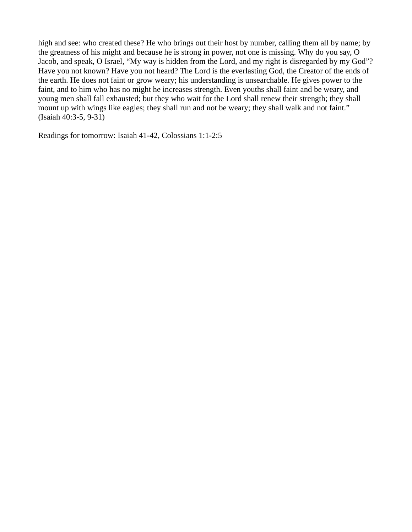high and see: who created these? He who brings out their host by number, calling them all by name; by the greatness of his might and because he is strong in power, not one is missing. Why do you say, O Jacob, and speak, O Israel, "My way is hidden from the Lord, and my right is disregarded by my God"? Have you not known? Have you not heard? The Lord is the everlasting God, the Creator of the ends of the earth. He does not faint or grow weary; his understanding is unsearchable. He gives power to the faint, and to him who has no might he increases strength. Even youths shall faint and be weary, and young men shall fall exhausted; but they who wait for the Lord shall renew their strength; they shall mount up with wings like eagles; they shall run and not be weary; they shall walk and not faint." (Isaiah 40:3-5, 9-31)

Readings for tomorrow: Isaiah 41-42, Colossians 1:1-2:5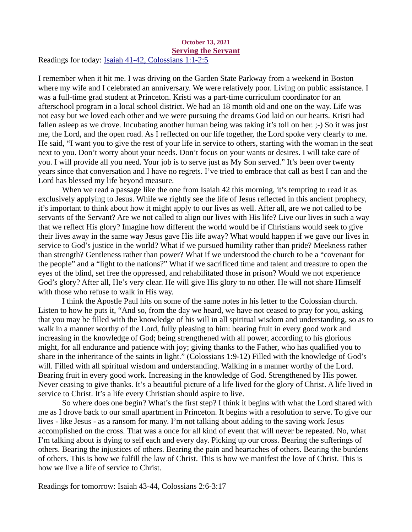#### October 13, 2021 Serving the Servant

<span id="page-22-0"></span>Readings for today[: Isaiah 41-42, Colossians 1:1-2:5](https://www.biblegateway.com/passage/?search=Isaiah+41-42%2C+Colossians+1%3A1-2%3A5&version=ESV)

I remember when it hit me. I was driving on the Garden State Parkway from a weekend in Boston where my wife and I celebrated an anniversary. We were relatively poor. Living on public assistance. I was a full-time grad student at Princeton. Kristi was a part-time curriculum coordinator for an afterschool program in a local school district. We had an 18 month old and one on the way. Life was not easy but we loved each other and we were pursuing the dreams God laid on our hearts. Kristi had fallen asleep as we drove. Incubating another human being was taking it's toll on her. ;-) So it was just me, the Lord, and the open road. As I reflected on our life together, the Lord spoke very clearly to me. He said, "I want you to give the rest of your life in service to others, starting with the woman in the seat next to you. Don't worry about your needs. Don't focus on your wants or desires. I will take care of you. I will provide all you need. Your job is to serve just as My Son served." It's been over twenty years since that conversation and I have no regrets. I've tried to embrace that call as best I can and the Lord has blessed my life beyond measure.

When we read a passage like the one from Isaiah 42 this morning, it's tempting to read it as exclusively applying to Jesus. While we rightly see the life of Jesus reflected in this ancient prophecy, it's important to think about how it might apply to our lives as well. After all, are we not called to be servants of the Servant? Are we not called to align our lives with His life? Live our lives in such a way that we reflect His glory? Imagine how different the world would be if Christians would seek to give their lives away in the same way Jesus gave His life away? What would happen if we gave our lives in service to God's justice in the world? What if we pursued humility rather than pride? Meekness rather than strength? Gentleness rather than power? What if we understood the church to be a "covenant for the people" and a "light to the nations?" What if we sacrificed time and talent and treasure to open the eyes of the blind, set free the oppressed, and rehabilitated those in prison? Would we not experience God's glory? After all, He's very clear. He will give His glory to no other. He will not share Himself with those who refuse to walk in His way.

I think the Apostle Paul hits on some of the same notes in his letter to the Colossian church. Listen to how he puts it, "And so, from the day we heard, we have not ceased to pray for you, asking that you may be filled with the knowledge of his will in all spiritual wisdom and understanding, so as to walk in a manner worthy of the Lord, fully pleasing to him: bearing fruit in every good work and increasing in the knowledge of God; being strengthened with all power, according to his glorious might, for all endurance and patience with joy; giving thanks to the Father, who has qualified you to share in the inheritance of the saints in light." (Colossians 1:9-12) Filled with the knowledge of God's will. Filled with all spiritual wisdom and understanding. Walking in a manner worthy of the Lord. Bearing fruit in every good work. Increasing in the knowledge of God. Strengthened by His power. Never ceasing to give thanks. It's a beautiful picture of a life lived for the glory of Christ. A life lived in service to Christ. It's a life every Christian should aspire to live.

So where does one begin? What's the first step? I think it begins with what the Lord shared with me as I drove back to our small apartment in Princeton. It begins with a resolution to serve. To give our lives - like Jesus - as a ransom for many. I'm not talking about adding to the saving work Jesus accomplished on the cross. That was a once for all kind of event that will never be repeated. No, what I'm talking about is dying to self each and every day. Picking up our cross. Bearing the sufferings of others. Bearing the injustices of others. Bearing the pain and heartaches of others. Bearing the burdens of others. This is how we fulfill the law of Christ. This is how we manifest the love of Christ. This is how we live a life of service to Christ.

Readings for tomorrow: Isaiah 43-44, Colossians 2:6-3:17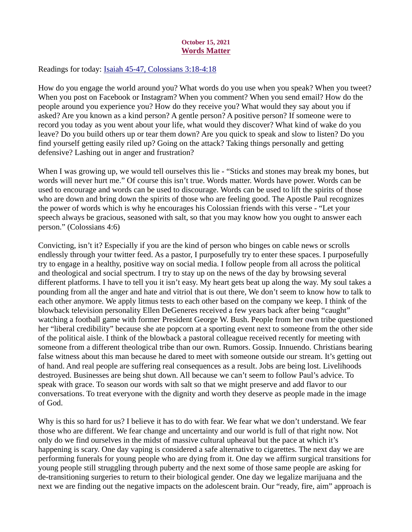### October 15, 2021 Words Matter

<span id="page-23-0"></span>Readings for today: [Isaiah 45-47, Colossians 3:18-4:18](https://www.biblegateway.com/passage/?search=Isaiah+45-47%2C+Colossians+3%3A18-4%3A18&version=ESV)

How do you engage the world around you? What words do you use when you speak? When you tweet? When you post on Facebook or Instagram? When you comment? When you send email? How do the people around you experience you? How do they receive you? What would they say about you if asked? Are you known as a kind person? A gentle person? A positive person? If someone were to record you today as you went about your life, what would they discover? What kind of wake do you leave? Do you build others up or tear them down? Are you quick to speak and slow to listen? Do you find yourself getting easily riled up? Going on the attack? Taking things personally and getting defensive? Lashing out in anger and frustration?

When I was growing up, we would tell ourselves this lie - "Sticks and stones may break my bones, but words will never hurt me." Of course this isn't true. Words matter. Words have power. Words can be used to encourage and words can be used to discourage. Words can be used to lift the spirits of those who are down and bring down the spirits of those who are feeling good. The Apostle Paul recognizes the power of words which is why he encourages his Colossian friends with this verse - "Let your speech always be gracious, seasoned with salt, so that you may know how you ought to answer each person." (Colossians 4:6)

Convicting, isn't it? Especially if you are the kind of person who binges on cable news or scrolls endlessly through your twitter feed. As a pastor, I purposefully try to enter these spaces. I purposefully try to engage in a healthy, positive way on social media. I follow people from all across the political and theological and social spectrum. I try to stay up on the news of the day by browsing several different platforms. I have to tell you it isn't easy. My heart gets beat up along the way. My soul takes a pounding from all the anger and hate and vitriol that is out there, We don't seem to know how to talk to each other anymore. We apply litmus tests to each other based on the company we keep. I think of the blowback television personality Ellen DeGeneres received a few years back after being "caught" watching a football game with former President George W. Bush. People from her own tribe questioned her "liberal credibility" because she ate popcorn at a sporting event next to someone from the other side of the political aisle. I think of the blowback a pastoral colleague received recently for meeting with someone from a different theological tribe than our own. Rumors. Gossip. Innuendo. Christians bearing false witness about this man because he dared to meet with someone outside our stream. It's getting out of hand. And real people are suffering real consequences as a result. Jobs are being lost. Livelihoods destroyed. Businesses are being shut down. All because we can't seem to follow Paul's advice. To speak with grace. To season our words with salt so that we might preserve and add flavor to our conversations. To treat everyone with the dignity and worth they deserve as people made in the image of God.

Why is this so hard for us? I believe it has to do with fear. We fear what we don't understand. We fear those who are different. We fear change and uncertainty and our world is full of that right now. Not only do we find ourselves in the midst of massive cultural upheaval but the pace at which it's happening is scary. One day vaping is considered a safe alternative to cigarettes. The next day we are performing funerals for young people who are dying from it. One day we affirm surgical transitions for young people still struggling through puberty and the next some of those same people are asking for de-transitioning surgeries to return to their biological gender. One day we legalize marijuana and the next we are finding out the negative impacts on the adolescent brain. Our "ready, fire, aim" approach is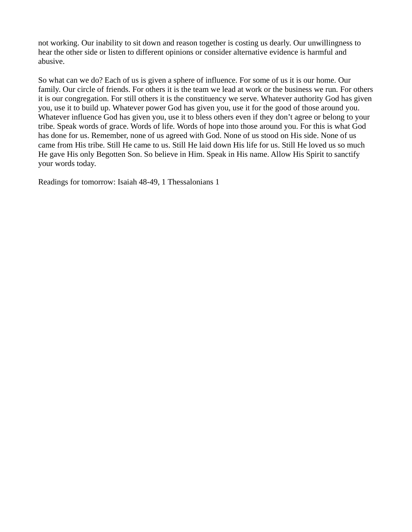not working. Our inability to sit down and reason together is costing us dearly. Our unwillingness to hear the other side or listen to different opinions or consider alternative evidence is harmful and abusive.

So what can we do? Each of us is given a sphere of influence. For some of us it is our home. Our family. Our circle of friends. For others it is the team we lead at work or the business we run. For others it is our congregation. For still others it is the constituency we serve. Whatever authority God has given you, use it to build up. Whatever power God has given you, use it for the good of those around you. Whatever influence God has given you, use it to bless others even if they don't agree or belong to your tribe. Speak words of grace. Words of life. Words of hope into those around you. For this is what God has done for us. Remember, none of us agreed with God. None of us stood on His side. None of us came from His tribe. Still He came to us. Still He laid down His life for us. Still He loved us so much He gave His only Begotten Son. So believe in Him. Speak in His name. Allow His Spirit to sanctify your words today.

Readings for tomorrow: Isaiah 48-49, 1 Thessalonians 1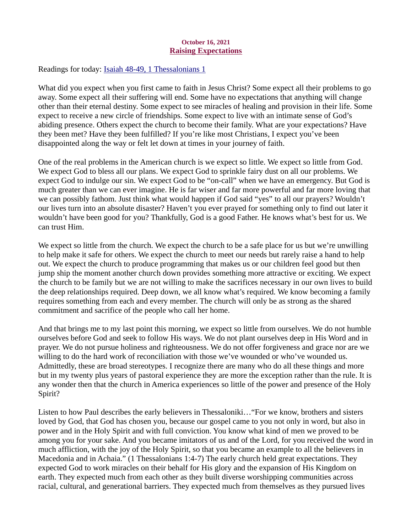### October 16, 2021 Raising Expectations

<span id="page-25-0"></span>Readings for today: **Isaiah 48-49, 1 Thessalonians 1** 

What did you expect when you first came to faith in Jesus Christ? Some expect all their problems to go away. Some expect all their suffering will end. Some have no expectations that anything will change other than their eternal destiny. Some expect to see miracles of healing and provision in their life. Some expect to receive a new circle of friendships. Some expect to live with an intimate sense of God's abiding presence. Others expect the church to become their family. What are your expectations? Have they been met? Have they been fulfilled? If you're like most Christians, I expect you've been disappointed along the way or felt let down at times in your journey of faith.

One of the real problems in the American church is we expect so little. We expect so little from God. We expect God to bless all our plans. We expect God to sprinkle fairy dust on all our problems. We expect God to indulge our sin. We expect God to be "on-call" when we have an emergency. But God is much greater than we can ever imagine. He is far wiser and far more powerful and far more loving that we can possibly fathom. Just think what would happen if God said "yes" to all our prayers? Wouldn't our lives turn into an absolute disaster? Haven't you ever prayed for something only to find out later it wouldn't have been good for you? Thankfully, God is a good Father. He knows what's best for us. We can trust Him.

We expect so little from the church. We expect the church to be a safe place for us but we're unwilling to help make it safe for others. We expect the church to meet our needs but rarely raise a hand to help out. We expect the church to produce programming that makes us or our children feel good but then jump ship the moment another church down provides something more attractive or exciting. We expect the church to be family but we are not willing to make the sacrifices necessary in our own lives to build the deep relationships required. Deep down, we all know what's required. We know becoming a family requires something from each and every member. The church will only be as strong as the shared commitment and sacrifice of the people who call her home.

And that brings me to my last point this morning, we expect so little from ourselves. We do not humble ourselves before God and seek to follow His ways. We do not plant ourselves deep in His Word and in prayer. We do not pursue holiness and righteousness. We do not offer forgiveness and grace nor are we willing to do the hard work of reconciliation with those we've wounded or who've wounded us. Admittedly, these are broad stereotypes. I recognize there are many who do all these things and more but in my twenty plus years of pastoral experience they are more the exception rather than the rule. It is any wonder then that the church in America experiences so little of the power and presence of the Holy Spirit?

Listen to how Paul describes the early believers in Thessaloniki…"For we know, brothers and sisters loved by God, that God has chosen you, because our gospel came to you not only in word, but also in power and in the Holy Spirit and with full conviction. You know what kind of men we proved to be among you for your sake. And you became imitators of us and of the Lord, for you received the word in much affliction, with the joy of the Holy Spirit, so that you became an example to all the believers in Macedonia and in Achaia." (1 Thessalonians 1:4-7) The early church held great expectations. They expected God to work miracles on their behalf for His glory and the expansion of His Kingdom on earth. They expected much from each other as they built diverse worshipping communities across racial, cultural, and generational barriers. They expected much from themselves as they pursued lives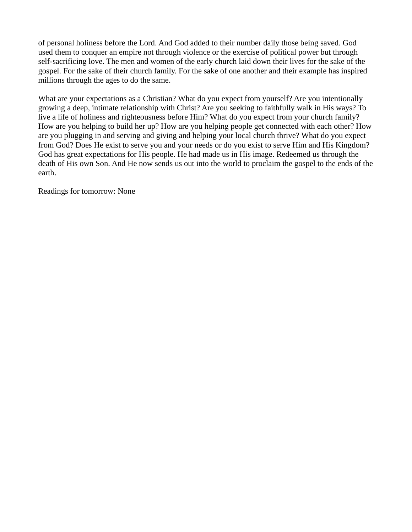of personal holiness before the Lord. And God added to their number daily those being saved. God used them to conquer an empire not through violence or the exercise of political power but through self-sacrificing love. The men and women of the early church laid down their lives for the sake of the gospel. For the sake of their church family. For the sake of one another and their example has inspired millions through the ages to do the same.

What are your expectations as a Christian? What do you expect from yourself? Are you intentionally growing a deep, intimate relationship with Christ? Are you seeking to faithfully walk in His ways? To live a life of holiness and righteousness before Him? What do you expect from your church family? How are you helping to build her up? How are you helping people get connected with each other? How are you plugging in and serving and giving and helping your local church thrive? What do you expect from God? Does He exist to serve you and your needs or do you exist to serve Him and His Kingdom? God has great expectations for His people. He had made us in His image. Redeemed us through the death of His own Son. And He now sends us out into the world to proclaim the gospel to the ends of the earth.

Readings for tomorrow: None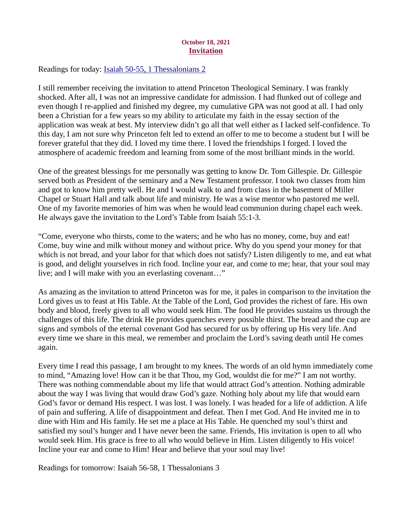### October 18, 2021 **Invitation**

<span id="page-27-0"></span>Readings for toda[y: Isaiah 50-55, 1 Thessalonians 2](https://www.biblegateway.com/passage/?search=Isaiah+50-55%2C+1+Thessalonians+2&version=ESV)

I still remember receiving the invitation to attend Princeton Theological Seminary. I was frankly shocked. After all, I was not an impressive candidate for admission. I had flunked out of college and even though I re-applied and finished my degree, my cumulative GPA was not good at all. I had only been a Christian for a few years so my ability to articulate my faith in the essay section of the application was weak at best. My interview didn't go all that well either as I lacked self-confidence. To this day, I am not sure why Princeton felt led to extend an offer to me to become a student but I will be forever grateful that they did. I loved my time there. I loved the friendships I forged. I loved the atmosphere of academic freedom and learning from some of the most brilliant minds in the world.

One of the greatest blessings for me personally was getting to know Dr. Tom Gillespie. Dr. Gillespie served both as President of the seminary and a New Testament professor. I took two classes from him and got to know him pretty well. He and I would walk to and from class in the basement of Miller Chapel or Stuart Hall and talk about life and ministry. He was a wise mentor who pastored me well. One of my favorite memories of him was when he would lead communion during chapel each week. He always gave the invitation to the Lord's Table from Isaiah 55:1-3.

"Come, everyone who thirsts, come to the waters; and he who has no money, come, buy and eat! Come, buy wine and milk without money and without price. Why do you spend your money for that which is not bread, and your labor for that which does not satisfy? Listen diligently to me, and eat what is good, and delight yourselves in rich food. Incline your ear, and come to me; hear, that your soul may live; and I will make with you an everlasting covenant…"

As amazing as the invitation to attend Princeton was for me, it pales in comparison to the invitation the Lord gives us to feast at His Table. At the Table of the Lord, God provides the richest of fare. His own body and blood, freely given to all who would seek Him. The food He provides sustains us through the challenges of this life. The drink He provides quenches every possible thirst. The bread and the cup are signs and symbols of the eternal covenant God has secured for us by offering up His very life. And every time we share in this meal, we remember and proclaim the Lord's saving death until He comes again.

Every time I read this passage, I am brought to my knees. The words of an old hymn immediately come to mind, "Amazing love! How can it be that Thou, my God, wouldst die for me?" I am not worthy. There was nothing commendable about my life that would attract God's attention. Nothing admirable about the way I was living that would draw God's gaze. Nothing holy about my life that would earn God's favor or demand His respect. I was lost. I was lonely. I was headed for a life of addiction. A life of pain and suffering. A life of disappointment and defeat. Then I met God. And He invited me in to dine with Him and His family. He set me a place at His Table. He quenched my soul's thirst and satisfied my soul's hunger and I have never been the same. Friends, His invitation is open to all who would seek Him. His grace is free to all who would believe in Him. Listen diligently to His voice! Incline your ear and come to Him! Hear and believe that your soul may live!

Readings for tomorrow: Isaiah 56-58, 1 Thessalonians 3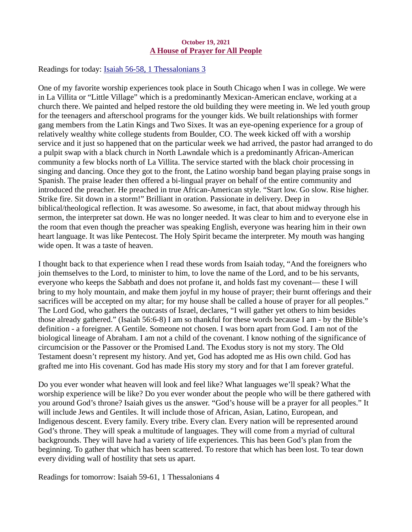#### October 19, 2021 A House of Prayer for All People

<span id="page-28-0"></span>Readings for today[: Isaiah 56-58, 1 Thessalonians 3](https://www.biblegateway.com/passage/?search=Isaiah+56-58%2C+1+Thessalonians+3&version=ESV)

One of my favorite worship experiences took place in South Chicago when I was in college. We were in La Villita or "Little Village" which is a predominantly Mexican-American enclave, working at a church there. We painted and helped restore the old building they were meeting in. We led youth group for the teenagers and afterschool programs for the younger kids. We built relationships with former gang members from the Latin Kings and Two Sixes. It was an eye-opening experience for a group of relatively wealthy white college students from Boulder, CO. The week kicked off with a worship service and it just so happened that on the particular week we had arrived, the pastor had arranged to do a pulpit swap with a black church in North Lawndale which is a predominantly African-American community a few blocks north of La Villita. The service started with the black choir processing in singing and dancing. Once they got to the front, the Latino worship band began playing praise songs in Spanish. The praise leader then offered a bi-lingual prayer on behalf of the entire community and introduced the preacher. He preached in true African-American style. "Start low. Go slow. Rise higher. Strike fire. Sit down in a storm!" Brilliant in oration. Passionate in delivery. Deep in biblical/theological reflection. It was awesome. So awesome, in fact, that about midway through his sermon, the interpreter sat down. He was no longer needed. It was clear to him and to everyone else in the room that even though the preacher was speaking English, everyone was hearing him in their own heart language. It was like Pentecost. The Holy Spirit became the interpreter. My mouth was hanging wide open. It was a taste of heaven.

I thought back to that experience when I read these words from Isaiah today, "And the foreigners who join themselves to the Lord, to minister to him, to love the name of the Lord, and to be his servants, everyone who keeps the Sabbath and does not profane it, and holds fast my covenant— these I will bring to my holy mountain, and make them joyful in my house of prayer; their burnt offerings and their sacrifices will be accepted on my altar; for my house shall be called a house of prayer for all peoples." The Lord God, who gathers the outcasts of Israel, declares, "I will gather yet others to him besides those already gathered." (Isaiah 56:6-8) I am so thankful for these words because I am - by the Bible's definition - a foreigner. A Gentile. Someone not chosen. I was born apart from God. I am not of the biological lineage of Abraham. I am not a child of the covenant. I know nothing of the significance of circumcision or the Passover or the Promised Land. The Exodus story is not my story. The Old Testament doesn't represent my history. And yet, God has adopted me as His own child. God has grafted me into His covenant. God has made His story my story and for that I am forever grateful.

Do you ever wonder what heaven will look and feel like? What languages we'll speak? What the worship experience will be like? Do you ever wonder about the people who will be there gathered with you around God's throne? Isaiah gives us the answer. "God's house will be a prayer for all peoples." It will include Jews and Gentiles. It will include those of African, Asian, Latino, European, and Indigenous descent. Every family. Every tribe. Every clan. Every nation will be represented around God's throne. They will speak a multitude of languages. They will come from a myriad of cultural backgrounds. They will have had a variety of life experiences. This has been God's plan from the beginning. To gather that which has been scattered. To restore that which has been lost. To tear down every dividing wall of hostility that sets us apart.

Readings for tomorrow: Isaiah 59-61, 1 Thessalonians 4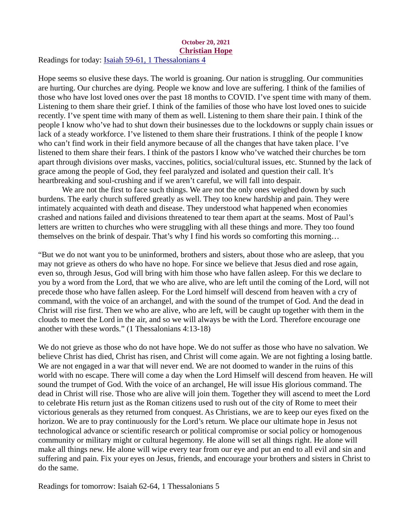#### October 20, 2021 Christian Hope

<span id="page-29-0"></span>Readings for toda[y: Isaiah 59-61, 1 Thessalonians 4](https://www.biblegateway.com/passage/?search=Isaiah+59-61%2C+1+Thessalonians+4&version=ESV)

Hope seems so elusive these days. The world is groaning. Our nation is struggling. Our communities are hurting. Our churches are dying. People we know and love are suffering. I think of the families of those who have lost loved ones over the past 18 months to COVID. I've spent time with many of them. Listening to them share their grief. I think of the families of those who have lost loved ones to suicide recently. I've spent time with many of them as well. Listening to them share their pain. I think of the people I know who've had to shut down their businesses due to the lockdowns or supply chain issues or lack of a steady workforce. I've listened to them share their frustrations. I think of the people I know who can't find work in their field anymore because of all the changes that have taken place. I've listened to them share their fears. I think of the pastors I know who've watched their churches be torn apart through divisions over masks, vaccines, politics, social/cultural issues, etc. Stunned by the lack of grace among the people of God, they feel paralyzed and isolated and question their call. It's heartbreaking and soul-crushing and if we aren't careful, we will fall into despair.

We are not the first to face such things. We are not the only ones weighed down by such burdens. The early church suffered greatly as well. They too knew hardship and pain. They were intimately acquainted with death and disease. They understood what happened when economies crashed and nations failed and divisions threatened to tear them apart at the seams. Most of Paul's letters are written to churches who were struggling with all these things and more. They too found themselves on the brink of despair. That's why I find his words so comforting this morning…

"But we do not want you to be uninformed, brothers and sisters, about those who are asleep, that you may not grieve as others do who have no hope. For since we believe that Jesus died and rose again, even so, through Jesus, God will bring with him those who have fallen asleep. For this we declare to you by a word from the Lord, that we who are alive, who are left until the coming of the Lord, will not precede those who have fallen asleep. For the Lord himself will descend from heaven with a cry of command, with the voice of an archangel, and with the sound of the trumpet of God. And the dead in Christ will rise first. Then we who are alive, who are left, will be caught up together with them in the clouds to meet the Lord in the air, and so we will always be with the Lord. Therefore encourage one another with these words." (1 Thessalonians 4:13-18)

We do not grieve as those who do not have hope. We do not suffer as those who have no salvation. We believe Christ has died, Christ has risen, and Christ will come again. We are not fighting a losing battle. We are not engaged in a war that will never end. We are not doomed to wander in the ruins of this world with no escape. There will come a day when the Lord Himself will descend from heaven. He will sound the trumpet of God. With the voice of an archangel, He will issue His glorious command. The dead in Christ will rise. Those who are alive will join them. Together they will ascend to meet the Lord to celebrate His return just as the Roman citizens used to rush out of the city of Rome to meet their victorious generals as they returned from conquest. As Christians, we are to keep our eyes fixed on the horizon. We are to pray continuously for the Lord's return. We place our ultimate hope in Jesus not technological advance or scientific research or political compromise or social policy or homogenous community or military might or cultural hegemony. He alone will set all things right. He alone will make all things new. He alone will wipe every tear from our eye and put an end to all evil and sin and suffering and pain. Fix your eyes on Jesus, friends, and encourage your brothers and sisters in Christ to do the same.

Readings for tomorrow: Isaiah 62-64, 1 Thessalonians 5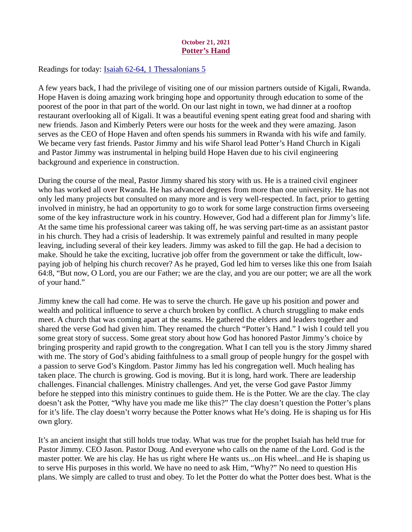## October 21, 2021 Potter's Hand

<span id="page-30-0"></span>Readings for toda[y: Isaiah 62-64, 1 Thessalonians 5](https://www.biblegateway.com/passage/?search=Isaiah+62-64%2C+1+Thessalonians+5&version=ESV)

A few years back, I had the privilege of visiting one of our mission partners outside of Kigali, Rwanda. Hope Haven is doing amazing work bringing hope and opportunity through education to some of the poorest of the poor in that part of the world. On our last night in town, we had dinner at a rooftop restaurant overlooking all of Kigali. It was a beautiful evening spent eating great food and sharing with new friends. Jason and Kimberly Peters were our hosts for the week and they were amazing. Jason serves as the CEO of Hope Haven and often spends his summers in Rwanda with his wife and family. We became very fast friends. Pastor Jimmy and his wife Sharol lead Potter's Hand Church in Kigali and Pastor Jimmy was instrumental in helping build Hope Haven due to his civil engineering background and experience in construction.

During the course of the meal, Pastor Jimmy shared his story with us. He is a trained civil engineer who has worked all over Rwanda. He has advanced degrees from more than one university. He has not only led many projects but consulted on many more and is very well-respected. In fact, prior to getting involved in ministry, he had an opportunity to go to work for some large construction firms overseeing some of the key infrastructure work in his country. However, God had a different plan for Jimmy's life. At the same time his professional career was taking off, he was serving part-time as an assistant pastor in his church. They had a crisis of leadership. It was extremely painful and resulted in many people leaving, including several of their key leaders. Jimmy was asked to fill the gap. He had a decision to make. Should he take the exciting, lucrative job offer from the government or take the difficult, lowpaying job of helping his church recover? As he prayed, God led him to verses like this one from Isaiah 64:8, "But now, O Lord, you are our Father; we are the clay, and you are our potter; we are all the work of your hand."

Jimmy knew the call had come. He was to serve the church. He gave up his position and power and wealth and political influence to serve a church broken by conflict. A church struggling to make ends meet. A church that was coming apart at the seams. He gathered the elders and leaders together and shared the verse God had given him. They renamed the church "Potter's Hand." I wish I could tell you some great story of success. Some great story about how God has honored Pastor Jimmy's choice by bringing prosperity and rapid growth to the congregation. What I can tell you is the story Jimmy shared with me. The story of God's abiding faithfulness to a small group of people hungry for the gospel with a passion to serve God's Kingdom. Pastor Jimmy has led his congregation well. Much healing has taken place. The church is growing. God is moving. But it is long, hard work. There are leadership challenges. Financial challenges. Ministry challenges. And yet, the verse God gave Pastor Jimmy before he stepped into this ministry continues to guide them. He is the Potter. We are the clay. The clay doesn't ask the Potter, "Why have you made me like this?" The clay doesn't question the Potter's plans for it's life. The clay doesn't worry because the Potter knows what He's doing. He is shaping us for His own glory.

It's an ancient insight that still holds true today. What was true for the prophet Isaiah has held true for Pastor Jimmy. CEO Jason. Pastor Doug. And everyone who calls on the name of the Lord. God is the master potter. We are his clay. He has us right where He wants us...on His wheel...and He is shaping us to serve His purposes in this world. We have no need to ask Him, "Why?" No need to question His plans. We simply are called to trust and obey. To let the Potter do what the Potter does best. What is the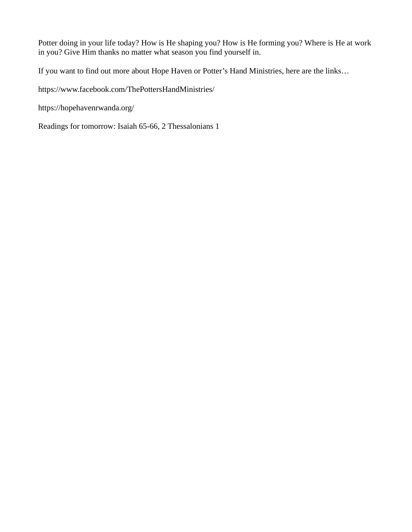Potter doing in your life today? How is He shaping you? How is He forming you? Where is He at work in you? Give Him thanks no matter what season you find yourself in.

If you want to find out more about Hope Haven or Potter's Hand Ministries, here are the links…

https://www.facebook.com/ThePottersHandMinistries/

https://hopehavenrwanda.org/

Readings for tomorrow: Isaiah 65-66, 2 Thessalonians 1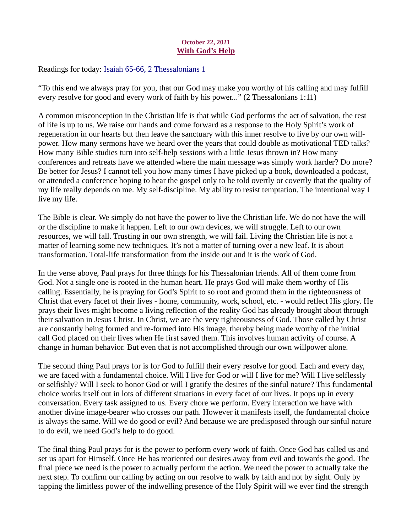## October 22, 2021 With God's Help

<span id="page-32-0"></span>Readings for today: **Isaiah 65-66, 2 Thessalonians 1** 

"To this end we always pray for you, that our God may make you worthy of his calling and may fulfill every resolve for good and every work of faith by his power..." (2 Thessalonians 1:11)

A common misconception in the Christian life is that while God performs the act of salvation, the rest of life is up to us. We raise our hands and come forward as a response to the Holy Spirit's work of regeneration in our hearts but then leave the sanctuary with this inner resolve to live by our own willpower. How many sermons have we heard over the years that could double as motivational TED talks? How many Bible studies turn into self-help sessions with a little Jesus thrown in? How many conferences and retreats have we attended where the main message was simply work harder? Do more? Be better for Jesus? I cannot tell you how many times I have picked up a book, downloaded a podcast, or attended a conference hoping to hear the gospel only to be told overtly or covertly that the quality of my life really depends on me. My self-discipline. My ability to resist temptation. The intentional way I live my life.

The Bible is clear. We simply do not have the power to live the Christian life. We do not have the will or the discipline to make it happen. Left to our own devices, we will struggle. Left to our own resources, we will fall. Trusting in our own strength, we will fail. Living the Christian life is not a matter of learning some new techniques. It's not a matter of turning over a new leaf. It is about transformation. Total-life transformation from the inside out and it is the work of God.

In the verse above, Paul prays for three things for his Thessalonian friends. All of them come from God. Not a single one is rooted in the human heart. He prays God will make them worthy of His calling. Essentially, he is praying for God's Spirit to so root and ground them in the righteousness of Christ that every facet of their lives - home, community, work, school, etc. - would reflect His glory. He prays their lives might become a living reflection of the reality God has already brought about through their salvation in Jesus Christ. In Christ, we are the very righteousness of God. Those called by Christ are constantly being formed and re-formed into His image, thereby being made worthy of the initial call God placed on their lives when He first saved them. This involves human activity of course. A change in human behavior. But even that is not accomplished through our own willpower alone.

The second thing Paul prays for is for God to fulfill their every resolve for good. Each and every day, we are faced with a fundamental choice. Will I live for God or will I live for me? Will I live selflessly or selfishly? Will I seek to honor God or will I gratify the desires of the sinful nature? This fundamental choice works itself out in lots of different situations in every facet of our lives. It pops up in every conversation. Every task assigned to us. Every chore we perform. Every interaction we have with another divine image-bearer who crosses our path. However it manifests itself, the fundamental choice is always the same. Will we do good or evil? And because we are predisposed through our sinful nature to do evil, we need God's help to do good.

The final thing Paul prays for is the power to perform every work of faith. Once God has called us and set us apart for Himself. Once He has reoriented our desires away from evil and towards the good. The final piece we need is the power to actually perform the action. We need the power to actually take the next step. To confirm our calling by acting on our resolve to walk by faith and not by sight. Only by tapping the limitless power of the indwelling presence of the Holy Spirit will we ever find the strength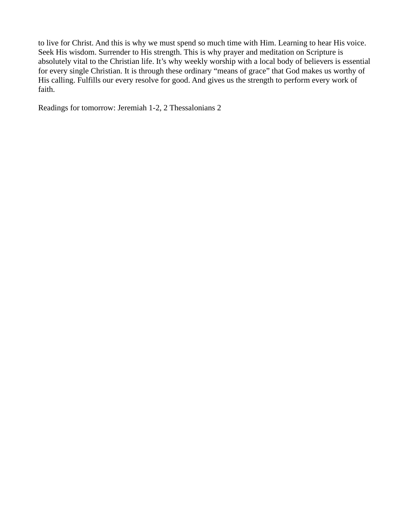to live for Christ. And this is why we must spend so much time with Him. Learning to hear His voice. Seek His wisdom. Surrender to His strength. This is why prayer and meditation on Scripture is absolutely vital to the Christian life. It's why weekly worship with a local body of believers is essential for every single Christian. It is through these ordinary "means of grace" that God makes us worthy of His calling. Fulfills our every resolve for good. And gives us the strength to perform every work of faith.

Readings for tomorrow: Jeremiah 1-2, 2 Thessalonians 2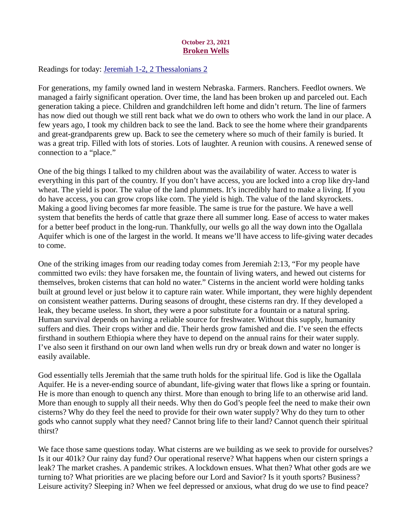## October 23, 2021 Broken Wells

<span id="page-34-0"></span>Readings for today: [Jeremiah 1-2, 2 Thessalonians 2](https://www.biblegateway.com/passage/?search=Jeremiah+1-2%2C+2+Thessalonians+2&version=ESV)

For generations, my family owned land in western Nebraska. Farmers. Ranchers. Feedlot owners. We managed a fairly significant operation. Over time, the land has been broken up and parceled out. Each generation taking a piece. Children and grandchildren left home and didn't return. The line of farmers has now died out though we still rent back what we do own to others who work the land in our place. A few years ago, I took my children back to see the land. Back to see the home where their grandparents and great-grandparents grew up. Back to see the cemetery where so much of their family is buried. It was a great trip. Filled with lots of stories. Lots of laughter. A reunion with cousins. A renewed sense of connection to a "place."

One of the big things I talked to my children about was the availability of water. Access to water is everything in this part of the country. If you don't have access, you are locked into a crop like dry-land wheat. The yield is poor. The value of the land plummets. It's incredibly hard to make a living. If you do have access, you can grow crops like corn. The yield is high. The value of the land skyrockets. Making a good living becomes far more feasible. The same is true for the pasture. We have a well system that benefits the herds of cattle that graze there all summer long. Ease of access to water makes for a better beef product in the long-run. Thankfully, our wells go all the way down into the Ogallala Aquifer which is one of the largest in the world. It means we'll have access to life-giving water decades to come.

One of the striking images from our reading today comes from Jeremiah 2:13, "For my people have committed two evils: they have forsaken me, the fountain of living waters, and hewed out cisterns for themselves, broken cisterns that can hold no water." Cisterns in the ancient world were holding tanks built at ground level or just below it to capture rain water. While important, they were highly dependent on consistent weather patterns. During seasons of drought, these cisterns ran dry. If they developed a leak, they became useless. In short, they were a poor substitute for a fountain or a natural spring. Human survival depends on having a reliable source for freshwater. Without this supply, humanity suffers and dies. Their crops wither and die. Their herds grow famished and die. I've seen the effects firsthand in southern Ethiopia where they have to depend on the annual rains for their water supply. I've also seen it firsthand on our own land when wells run dry or break down and water no longer is easily available.

God essentially tells Jeremiah that the same truth holds for the spiritual life. God is like the Ogallala Aquifer. He is a never-ending source of abundant, life-giving water that flows like a spring or fountain. He is more than enough to quench any thirst. More than enough to bring life to an otherwise arid land. More than enough to supply all their needs. Why then do God's people feel the need to make their own cisterns? Why do they feel the need to provide for their own water supply? Why do they turn to other gods who cannot supply what they need? Cannot bring life to their land? Cannot quench their spiritual thirst?

We face those same questions today. What cisterns are we building as we seek to provide for ourselves? Is it our 401k? Our rainy day fund? Our operational reserve? What happens when our cistern springs a leak? The market crashes. A pandemic strikes. A lockdown ensues. What then? What other gods are we turning to? What priorities are we placing before our Lord and Savior? Is it youth sports? Business? Leisure activity? Sleeping in? When we feel depressed or anxious, what drug do we use to find peace?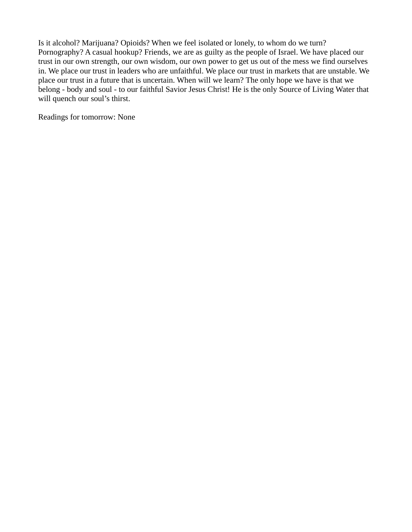Is it alcohol? Marijuana? Opioids? When we feel isolated or lonely, to whom do we turn? Pornography? A casual hookup? Friends, we are as guilty as the people of Israel. We have placed our trust in our own strength, our own wisdom, our own power to get us out of the mess we find ourselves in. We place our trust in leaders who are unfaithful. We place our trust in markets that are unstable. We place our trust in a future that is uncertain. When will we learn? The only hope we have is that we belong - body and soul - to our faithful Savior Jesus Christ! He is the only Source of Living Water that will quench our soul's thirst.

Readings for tomorrow: None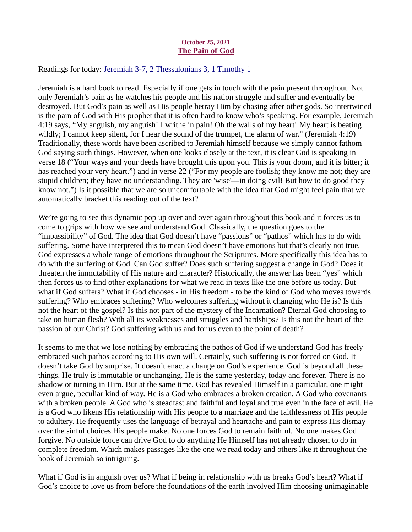## October 25, 2021 The Pain of God

<span id="page-36-0"></span>Readings for today[: Jeremiah 3-7, 2 Thessalonians 3, 1 Timothy 1](https://www.biblegateway.com/passage/?search=Jeremiah+3-7%2C+2+Thessalonians+3%2C+1+Timothy+1&version=ESV)

Jeremiah is a hard book to read. Especially if one gets in touch with the pain present throughout. Not only Jeremiah's pain as he watches his people and his nation struggle and suffer and eventually be destroyed. But God's pain as well as His people betray Him by chasing after other gods. So intertwined is the pain of God with His prophet that it is often hard to know who's speaking. For example, Jeremiah 4:19 says, "My anguish, my anguish! I writhe in pain! Oh the walls of my heart! My heart is beating wildly; I cannot keep silent, for I hear the sound of the trumpet, the alarm of war." (Jeremiah 4:19) Traditionally, these words have been ascribed to Jeremiah himself because we simply cannot fathom God saying such things. However, when one looks closely at the text, it is clear God is speaking in verse 18 ("Your ways and your deeds have brought this upon you. This is your doom, and it is bitter; it has reached your very heart.") and in verse 22 ("For my people are foolish; they know me not; they are stupid children; they have no understanding. They are 'wise'—in doing evil! But how to do good they know not.") Is it possible that we are so uncomfortable with the idea that God might feel pain that we automatically bracket this reading out of the text?

We're going to see this dynamic pop up over and over again throughout this book and it forces us to come to grips with how we see and understand God. Classically, the question goes to the "impassibility" of God. The idea that God doesn't have "passions" or "pathos" which has to do with suffering. Some have interpreted this to mean God doesn't have emotions but that's clearly not true. God expresses a whole range of emotions throughout the Scriptures. More specifically this idea has to do with the suffering of God. Can God suffer? Does such suffering suggest a change in God? Does it threaten the immutability of His nature and character? Historically, the answer has been "yes" which then forces us to find other explanations for what we read in texts like the one before us today. But what if God suffers? What if God chooses - in His freedom - to be the kind of God who moves towards suffering? Who embraces suffering? Who welcomes suffering without it changing who He is? Is this not the heart of the gospel? Is this not part of the mystery of the Incarnation? Eternal God choosing to take on human flesh? With all its weaknesses and struggles and hardships? Is this not the heart of the passion of our Christ? God suffering with us and for us even to the point of death?

It seems to me that we lose nothing by embracing the pathos of God if we understand God has freely embraced such pathos according to His own will. Certainly, such suffering is not forced on God. It doesn't take God by surprise. It doesn't enact a change on God's experience. God is beyond all these things. He truly is immutable or unchanging. He is the same yesterday, today and forever. There is no shadow or turning in Him. But at the same time, God has revealed Himself in a particular, one might even argue, peculiar kind of way. He is a God who embraces a broken creation. A God who covenants with a broken people. A God who is steadfast and faithful and loyal and true even in the face of evil. He is a God who likens His relationship with His people to a marriage and the faithlessness of His people to adultery. He frequently uses the language of betrayal and heartache and pain to express His dismay over the sinful choices His people make. No one forces God to remain faithful. No one makes God forgive. No outside force can drive God to do anything He Himself has not already chosen to do in complete freedom. Which makes passages like the one we read today and others like it throughout the book of Jeremiah so intriguing.

What if God is in anguish over us? What if being in relationship with us breaks God's heart? What if God's choice to love us from before the foundations of the earth involved Him choosing unimaginable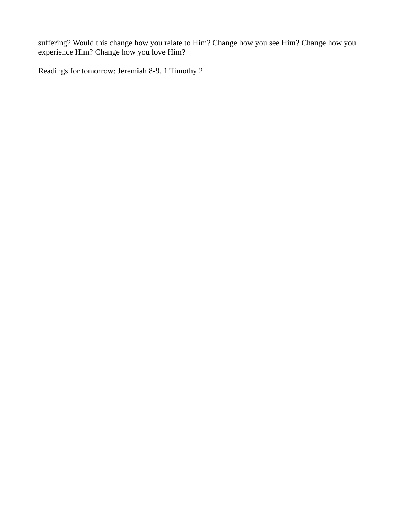suffering? Would this change how you relate to Him? Change how you see Him? Change how you experience Him? Change how you love Him?

Readings for tomorrow: Jeremiah 8-9, 1 Timothy 2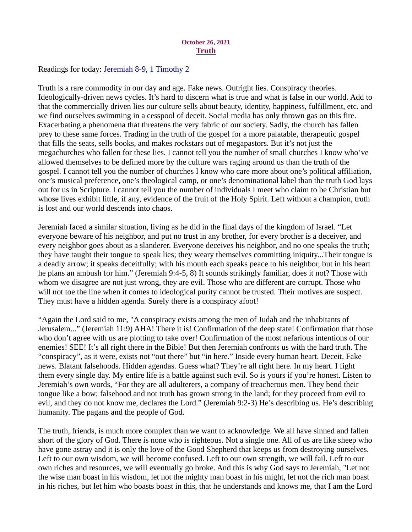## October 26, 2021 Truth

<span id="page-38-0"></span>Readings for today[: Jeremiah 8-9, 1 Timothy 2](https://www.biblegateway.com/passage/?search=Jeremiah+8-9%2C+1+Timothy+2&version=ESV)

Truth is a rare commodity in our day and age. Fake news. Outright lies. Conspiracy theories. Ideologically-driven news cycles. It's hard to discern what is true and what is false in our world. Add to that the commercially driven lies our culture sells about beauty, identity, happiness, fulfillment, etc. and we find ourselves swimming in a cesspool of deceit. Social media has only thrown gas on this fire. Exacerbating a phenomena that threatens the very fabric of our society. Sadly, the church has fallen prey to these same forces. Trading in the truth of the gospel for a more palatable, therapeutic gospel that fills the seats, sells books, and makes rockstars out of megapastors. But it's not just the megachurches who fallen for these lies. I cannot tell you the number of small churches I know who've allowed themselves to be defined more by the culture wars raging around us than the truth of the gospel. I cannot tell you the number of churches I know who care more about one's political affiliation, one's musical preference, one's theological camp, or one's denominational label than the truth God lays out for us in Scripture. I cannot tell you the number of individuals I meet who claim to be Christian but whose lives exhibit little, if any, evidence of the fruit of the Holy Spirit. Left without a champion, truth is lost and our world descends into chaos.

Jeremiah faced a similar situation, living as he did in the final days of the kingdom of Israel. "Let everyone beware of his neighbor, and put no trust in any brother, for every brother is a deceiver, and every neighbor goes about as a slanderer. Everyone deceives his neighbor, and no one speaks the truth; they have taught their tongue to speak lies; they weary themselves committing iniquity...Their tongue is a deadly arrow; it speaks deceitfully; with his mouth each speaks peace to his neighbor, but in his heart he plans an ambush for him." (Jeremiah 9:4-5, 8) It sounds strikingly familiar, does it not? Those with whom we disagree are not just wrong, they are evil. Those who are different are corrupt. Those who will not toe the line when it comes to ideological purity cannot be trusted. Their motives are suspect. They must have a hidden agenda. Surely there is a conspiracy afoot!

"Again the Lord said to me, "A conspiracy exists among the men of Judah and the inhabitants of Jerusalem..." (Jeremiah 11:9) AHA! There it is! Confirmation of the deep state! Confirmation that those who don't agree with us are plotting to take over! Confirmation of the most nefarious intentions of our enemies! SEE! It's all right there in the Bible! But then Jeremiah confronts us with the hard truth. The "conspiracy", as it were, exists not "out there" but "in here." Inside every human heart. Deceit. Fake news. Blatant falsehoods. Hidden agendas. Guess what? They're all right here. In my heart. I fight them every single day. My entire life is a battle against such evil. So is yours if you're honest. Listen to Jeremiah's own words, "For they are all adulterers, a company of treacherous men. They bend their tongue like a bow; falsehood and not truth has grown strong in the land; for they proceed from evil to evil, and they do not know me, declares the Lord." (Jeremiah 9:2-3) He's describing us. He's describing humanity. The pagans and the people of God.

The truth, friends, is much more complex than we want to acknowledge. We all have sinned and fallen short of the glory of God. There is none who is righteous. Not a single one. All of us are like sheep who have gone astray and it is only the love of the Good Shepherd that keeps us from destroying ourselves. Left to our own wisdom, we will become confused. Left to our own strength, we will fail. Left to our own riches and resources, we will eventually go broke. And this is why God says to Jeremiah, "Let not the wise man boast in his wisdom, let not the mighty man boast in his might, let not the rich man boast in his riches, but let him who boasts boast in this, that he understands and knows me, that I am the Lord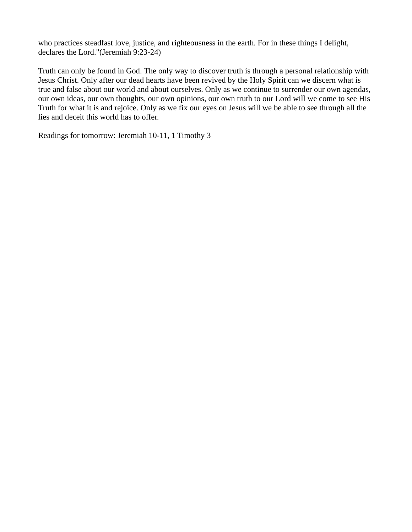who practices steadfast love, justice, and righteousness in the earth. For in these things I delight, declares the Lord."(Jeremiah 9:23-24)

Truth can only be found in God. The only way to discover truth is through a personal relationship with Jesus Christ. Only after our dead hearts have been revived by the Holy Spirit can we discern what is true and false about our world and about ourselves. Only as we continue to surrender our own agendas, our own ideas, our own thoughts, our own opinions, our own truth to our Lord will we come to see His Truth for what it is and rejoice. Only as we fix our eyes on Jesus will we be able to see through all the lies and deceit this world has to offer.

Readings for tomorrow: Jeremiah 10-11, 1 Timothy 3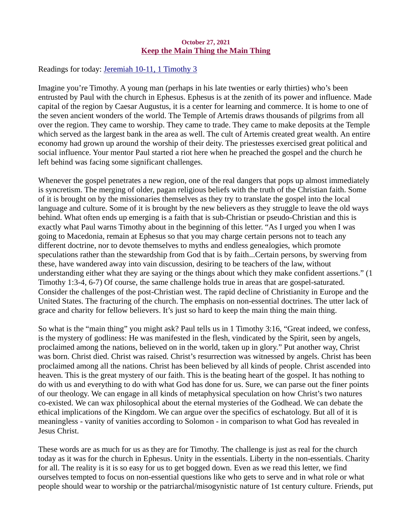## October 27, 2021 Keep the Main Thing the Main Thing

<span id="page-40-0"></span>Readings for today[: Jeremiah 10-11, 1 Timothy 3](https://www.biblegateway.com/passage/?search=Jeremiah+10-11%2C+1+Timothy+3&version=ESV)

Imagine you're Timothy. A young man (perhaps in his late twenties or early thirties) who's been entrusted by Paul with the church in Ephesus. Ephesus is at the zenith of its power and influence. Made capital of the region by Caesar Augustus, it is a center for learning and commerce. It is home to one of the seven ancient wonders of the world. The Temple of Artemis draws thousands of pilgrims from all over the region. They came to worship. They came to trade. They came to make deposits at the Temple which served as the largest bank in the area as well. The cult of Artemis created great wealth. An entire economy had grown up around the worship of their deity. The priestesses exercised great political and social influence. Your mentor Paul started a riot here when he preached the gospel and the church he left behind was facing some significant challenges.

Whenever the gospel penetrates a new region, one of the real dangers that pops up almost immediately is syncretism. The merging of older, pagan religious beliefs with the truth of the Christian faith. Some of it is brought on by the missionaries themselves as they try to translate the gospel into the local language and culture. Some of it is brought by the new believers as they struggle to leave the old ways behind. What often ends up emerging is a faith that is sub-Christian or pseudo-Christian and this is exactly what Paul warns Timothy about in the beginning of this letter. "As I urged you when I was going to Macedonia, remain at Ephesus so that you may charge certain persons not to teach any different doctrine, nor to devote themselves to myths and endless genealogies, which promote speculations rather than the stewardship from God that is by faith...Certain persons, by swerving from these, have wandered away into vain discussion, desiring to be teachers of the law, without understanding either what they are saying or the things about which they make confident assertions." (1 Timothy 1:3-4, 6-7) Of course, the same challenge holds true in areas that are gospel-saturated. Consider the challenges of the post-Christian west. The rapid decline of Christianity in Europe and the United States. The fracturing of the church. The emphasis on non-essential doctrines. The utter lack of grace and charity for fellow believers. It's just so hard to keep the main thing the main thing.

So what is the "main thing" you might ask? Paul tells us in 1 Timothy 3:16, "Great indeed, we confess, is the mystery of godliness: He was manifested in the flesh, vindicated by the Spirit, seen by angels, proclaimed among the nations, believed on in the world, taken up in glory." Put another way, Christ was born. Christ died. Christ was raised. Christ's resurrection was witnessed by angels. Christ has been proclaimed among all the nations. Christ has been believed by all kinds of people. Christ ascended into heaven. This is the great mystery of our faith. This is the beating heart of the gospel. It has nothing to do with us and everything to do with what God has done for us. Sure, we can parse out the finer points of our theology. We can engage in all kinds of metaphysical speculation on how Christ's two natures co-existed. We can wax philosophical about the eternal mysteries of the Godhead. We can debate the ethical implications of the Kingdom. We can argue over the specifics of eschatology. But all of it is meaningless - vanity of vanities according to Solomon - in comparison to what God has revealed in Jesus Christ.

These words are as much for us as they are for Timothy. The challenge is just as real for the church today as it was for the church in Ephesus. Unity in the essentials. Liberty in the non-essentials. Charity for all. The reality is it is so easy for us to get bogged down. Even as we read this letter, we find ourselves tempted to focus on non-essential questions like who gets to serve and in what role or what people should wear to worship or the patriarchal/misogynistic nature of 1st century culture. Friends, put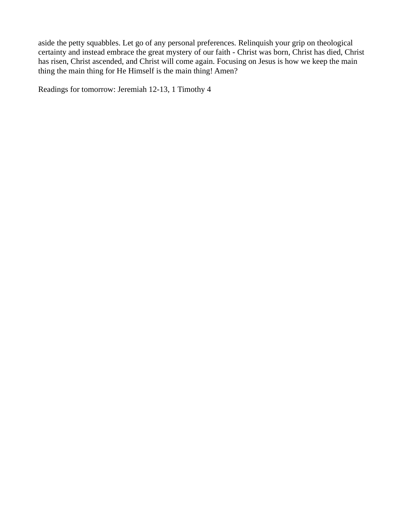aside the petty squabbles. Let go of any personal preferences. Relinquish your grip on theological certainty and instead embrace the great mystery of our faith - Christ was born, Christ has died, Christ has risen, Christ ascended, and Christ will come again. Focusing on Jesus is how we keep the main thing the main thing for He Himself is the main thing! Amen?

Readings for tomorrow: Jeremiah 12-13, 1 Timothy 4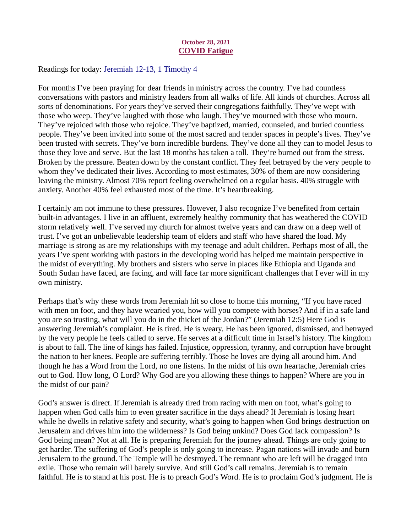## October 28, 2021 COVID Fatigue

<span id="page-42-0"></span>Readings for today[: Jeremiah 12-13, 1 Timothy 4](https://www.biblegateway.com/passage/?search=Jeremiah+12-13%2C+1+Timothy+4&version=ESV)

For months I've been praying for dear friends in ministry across the country. I've had countless conversations with pastors and ministry leaders from all walks of life. All kinds of churches. Across all sorts of denominations. For years they've served their congregations faithfully. They've wept with those who weep. They've laughed with those who laugh. They've mourned with those who mourn. They've rejoiced with those who rejoice. They've baptized, married, counseled, and buried countless people. They've been invited into some of the most sacred and tender spaces in people's lives. They've been trusted with secrets. They've born incredible burdens. They've done all they can to model Jesus to those they love and serve. But the last 18 months has taken a toll. They're burned out from the stress. Broken by the pressure. Beaten down by the constant conflict. They feel betrayed by the very people to whom they've dedicated their lives. According to most estimates, 30% of them are now considering leaving the ministry. Almost 70% report feeling overwhelmed on a regular basis. 40% struggle with anxiety. Another 40% feel exhausted most of the time. It's heartbreaking.

I certainly am not immune to these pressures. However, I also recognize I've benefited from certain built-in advantages. I live in an affluent, extremely healthy community that has weathered the COVID storm relatively well. I've served my church for almost twelve years and can draw on a deep well of trust. I've got an unbelievable leadership team of elders and staff who have shared the load. My marriage is strong as are my relationships with my teenage and adult children. Perhaps most of all, the years I've spent working with pastors in the developing world has helped me maintain perspective in the midst of everything. My brothers and sisters who serve in places like Ethiopia and Uganda and South Sudan have faced, are facing, and will face far more significant challenges that I ever will in my own ministry.

Perhaps that's why these words from Jeremiah hit so close to home this morning, "If you have raced with men on foot, and they have wearied you, how will you compete with horses? And if in a safe land you are so trusting, what will you do in the thicket of the Jordan?" (Jeremiah 12:5) Here God is answering Jeremiah's complaint. He is tired. He is weary. He has been ignored, dismissed, and betrayed by the very people he feels called to serve. He serves at a difficult time in Israel's history. The kingdom is about to fall. The line of kings has failed. Injustice, oppression, tyranny, and corruption have brought the nation to her knees. People are suffering terribly. Those he loves are dying all around him. And though he has a Word from the Lord, no one listens. In the midst of his own heartache, Jeremiah cries out to God. How long, O Lord? Why God are you allowing these things to happen? Where are you in the midst of our pain?

God's answer is direct. If Jeremiah is already tired from racing with men on foot, what's going to happen when God calls him to even greater sacrifice in the days ahead? If Jeremiah is losing heart while he dwells in relative safety and security, what's going to happen when God brings destruction on Jerusalem and drives him into the wilderness? Is God being unkind? Does God lack compassion? Is God being mean? Not at all. He is preparing Jeremiah for the journey ahead. Things are only going to get harder. The suffering of God's people is only going to increase. Pagan nations will invade and burn Jerusalem to the ground. The Temple will be destroyed. The remnant who are left will be dragged into exile. Those who remain will barely survive. And still God's call remains. Jeremiah is to remain faithful. He is to stand at his post. He is to preach God's Word. He is to proclaim God's judgment. He is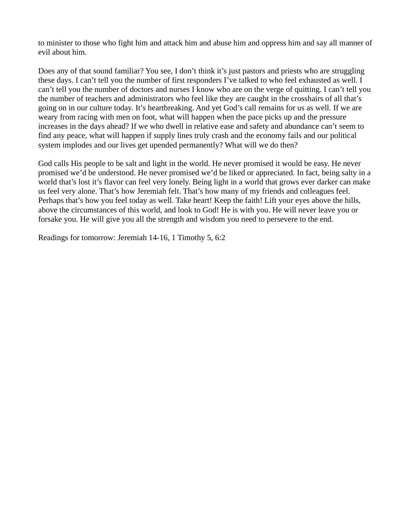to minister to those who fight him and attack him and abuse him and oppress him and say all manner of evil about him.

Does any of that sound familiar? You see, I don't think it's just pastors and priests who are struggling these days. I can't tell you the number of first responders I've talked to who feel exhausted as well. I can't tell you the number of doctors and nurses I know who are on the verge of quitting. I can't tell you the number of teachers and administrators who feel like they are caught in the crosshairs of all that's going on in our culture today. It's heartbreaking. And yet God's call remains for us as well. If we are weary from racing with men on foot, what will happen when the pace picks up and the pressure increases in the days ahead? If we who dwell in relative ease and safety and abundance can't seem to find any peace, what will happen if supply lines truly crash and the economy fails and our political system implodes and our lives get upended permanently? What will we do then?

God calls His people to be salt and light in the world. He never promised it would be easy. He never promised we'd be understood. He never promised we'd be liked or appreciated. In fact, being salty in a world that's lost it's flavor can feel very lonely. Being light in a world that grows ever darker can make us feel very alone. That's how Jeremiah felt. That's how many of my friends and colleagues feel. Perhaps that's how you feel today as well. Take heart! Keep the faith! Lift your eyes above the hills, above the circumstances of this world, and look to God! He is with you. He will never leave you or forsake you. He will give you all the strength and wisdom you need to persevere to the end.

Readings for tomorrow: Jeremiah 14-16, 1 Timothy 5, 6:2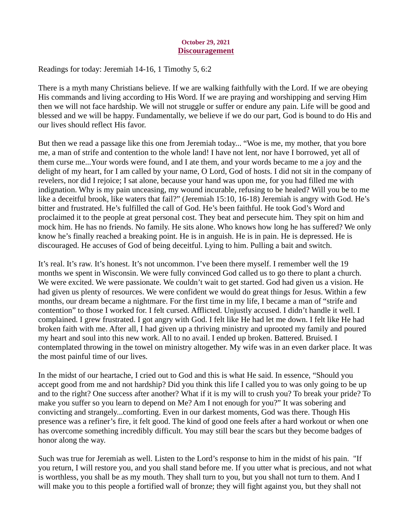## October 29, 2021 **Discouragement**

<span id="page-44-0"></span>Readings for today: [Jeremiah 14-16, 1 Timothy 5, 6:2](https://www.biblegateway.com/passage/?search=Jeremiah+14-16%2C+1+Timothy+5%2C+6%3A2&version=ESV)

There is a myth many Christians believe. If we are walking faithfully with the Lord. If we are obeying His commands and living according to His Word. If we are praying and worshipping and serving Him then we will not face hardship. We will not struggle or suffer or endure any pain. Life will be good and blessed and we will be happy. Fundamentally, we believe if we do our part, God is bound to do His and our lives should reflect His favor.

But then we read a passage like this one from Jeremiah today... "Woe is me, my mother, that you bore me, a man of strife and contention to the whole land! I have not lent, nor have I borrowed, yet all of them curse me...Your words were found, and I ate them, and your words became to me a joy and the delight of my heart, for I am called by your name, O Lord, God of hosts. I did not sit in the company of revelers, nor did I rejoice; I sat alone, because your hand was upon me, for you had filled me with indignation. Why is my pain unceasing, my wound incurable, refusing to be healed? Will you be to me like a deceitful brook, like waters that fail?" (Jeremiah 15:10, 16-18) Jeremiah is angry with God. He's bitter and frustrated. He's fulfilled the call of God. He's been faithful. He took God's Word and proclaimed it to the people at great personal cost. They beat and persecute him. They spit on him and mock him. He has no friends. No family. He sits alone. Who knows how long he has suffered? We only know he's finally reached a breaking point. He is in anguish. He is in pain. He is depressed. He is discouraged. He accuses of God of being deceitful. Lying to him. Pulling a bait and switch.

It's real. It's raw. It's honest. It's not uncommon. I've been there myself. I remember well the 19 months we spent in Wisconsin. We were fully convinced God called us to go there to plant a church. We were excited. We were passionate. We couldn't wait to get started. God had given us a vision. He had given us plenty of resources. We were confident we would do great things for Jesus. Within a few months, our dream became a nightmare. For the first time in my life, I became a man of "strife and contention" to those I worked for. I felt cursed. Afflicted. Unjustly accused. I didn't handle it well. I complained. I grew frustrated. I got angry with God. I felt like He had let me down. I felt like He had broken faith with me. After all, I had given up a thriving ministry and uprooted my family and poured my heart and soul into this new work. All to no avail. I ended up broken. Battered. Bruised. I contemplated throwing in the towel on ministry altogether. My wife was in an even darker place. It was the most painful time of our lives.

In the midst of our heartache, I cried out to God and this is what He said. In essence, "Should you accept good from me and not hardship? Did you think this life I called you to was only going to be up and to the right? One success after another? What if it is my will to crush you? To break your pride? To make you suffer so you learn to depend on Me? Am I not enough for you?" It was sobering and convicting and strangely...comforting. Even in our darkest moments, God was there. Though His presence was a refiner's fire, it felt good. The kind of good one feels after a hard workout or when one has overcome something incredibly difficult. You may still bear the scars but they become badges of honor along the way.

Such was true for Jeremiah as well. Listen to the Lord's response to him in the midst of his pain. "If you return, I will restore you, and you shall stand before me. If you utter what is precious, and not what is worthless, you shall be as my mouth. They shall turn to you, but you shall not turn to them. And I will make you to this people a fortified wall of bronze; they will fight against you, but they shall not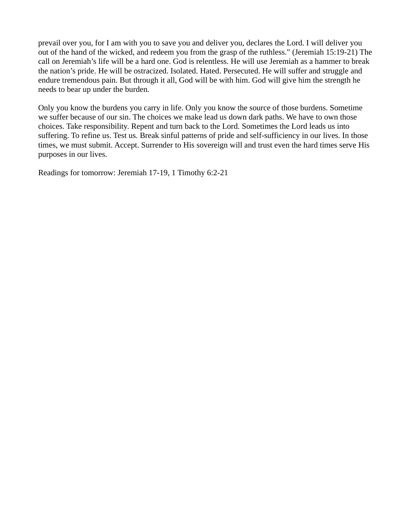prevail over you, for I am with you to save you and deliver you, declares the Lord. I will deliver you out of the hand of the wicked, and redeem you from the grasp of the ruthless." (Jeremiah 15:19-21) The call on Jeremiah's life will be a hard one. God is relentless. He will use Jeremiah as a hammer to break the nation's pride. He will be ostracized. Isolated. Hated. Persecuted. He will suffer and struggle and endure tremendous pain. But through it all, God will be with him. God will give him the strength he needs to bear up under the burden.

Only you know the burdens you carry in life. Only you know the source of those burdens. Sometime we suffer because of our sin. The choices we make lead us down dark paths. We have to own those choices. Take responsibility. Repent and turn back to the Lord. Sometimes the Lord leads us into suffering. To refine us. Test us. Break sinful patterns of pride and self-sufficiency in our lives. In those times, we must submit. Accept. Surrender to His sovereign will and trust even the hard times serve His purposes in our lives.

Readings for tomorrow: Jeremiah 17-19, 1 Timothy 6:2-21